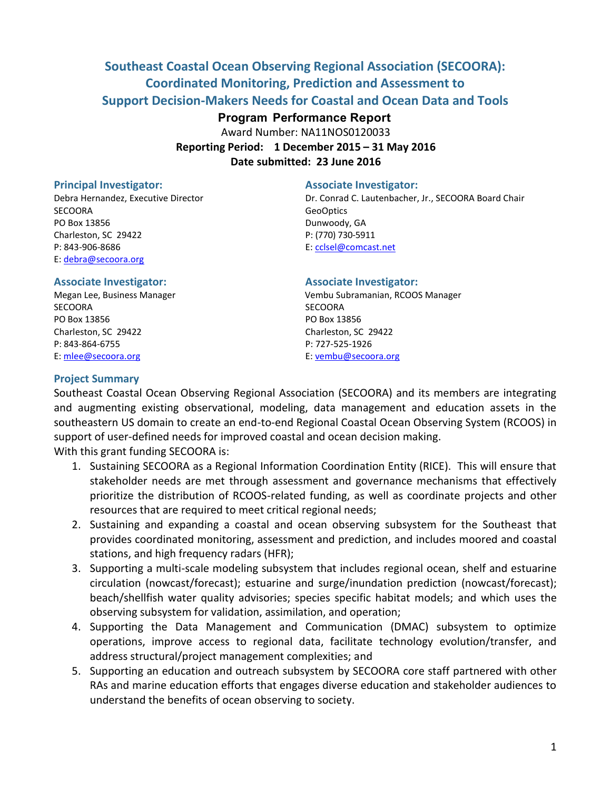# **Southeast Coastal Ocean Observing Regional Association (SECOORA): Coordinated Monitoring, Prediction and Assessment to Support Decision-Makers Needs for Coastal and Ocean Data and Tools**

## **Program Performance Report**

Award Number: NA11NOS0120033 **Reporting Period: 1 December 2015 – 31 May 2016** 

**Date submitted: 23 June 2016**

#### **Principal Investigator:** Associate Investigator:

SECOORA GeoOptics and the contract of the contract of the contract of the contract of the contract of the contract of the contract of the contract of the contract of the contract of the contract of the contract of the cont PO Box 13856 Dunwoody, GA Charleston, SC 29422 P: (770) 730-5911 P: 843-906-8686 E: cclsel@comcast.net E: debra@secoora.org

Debra Hernandez, Executive Director Dr. Conrad C. Lautenbacher, Jr., SECOORA Board Chair

SECOORA SECOORA PO Box 13856 PO Box 13856 Charleston, SC 29422 Charleston, SC 29422 P: 843-864-6755 P: 727-525-1926 E: mlee@secoora.org E: vembu@secoora.org

#### **Associate Investigator: Associate Investigator:**

Megan Lee, Business Manager Vembu Subramanian, RCOOS Manager

#### **Project Summary**

Southeast Coastal Ocean Observing Regional Association (SECOORA) and its members are integrating and augmenting existing observational, modeling, data management and education assets in the southeastern US domain to create an end-to-end Regional Coastal Ocean Observing System (RCOOS) in support of user-defined needs for improved coastal and ocean decision making.

With this grant funding SECOORA is:

- 1. Sustaining SECOORA as a Regional Information Coordination Entity (RICE). This will ensure that stakeholder needs are met through assessment and governance mechanisms that effectively prioritize the distribution of RCOOS-related funding, as well as coordinate projects and other resources that are required to meet critical regional needs;
- 2. Sustaining and expanding a coastal and ocean observing subsystem for the Southeast that provides coordinated monitoring, assessment and prediction, and includes moored and coastal stations, and high frequency radars (HFR);
- 3. Supporting a multi-scale modeling subsystem that includes regional ocean, shelf and estuarine circulation (nowcast/forecast); estuarine and surge/inundation prediction (nowcast/forecast); beach/shellfish water quality advisories; species specific habitat models; and which uses the observing subsystem for validation, assimilation, and operation;
- 4. Supporting the Data Management and Communication (DMAC) subsystem to optimize operations, improve access to regional data, facilitate technology evolution/transfer, and address structural/project management complexities; and
- 5. Supporting an education and outreach subsystem by SECOORA core staff partnered with other RAs and marine education efforts that engages diverse education and stakeholder audiences to understand the benefits of ocean observing to society.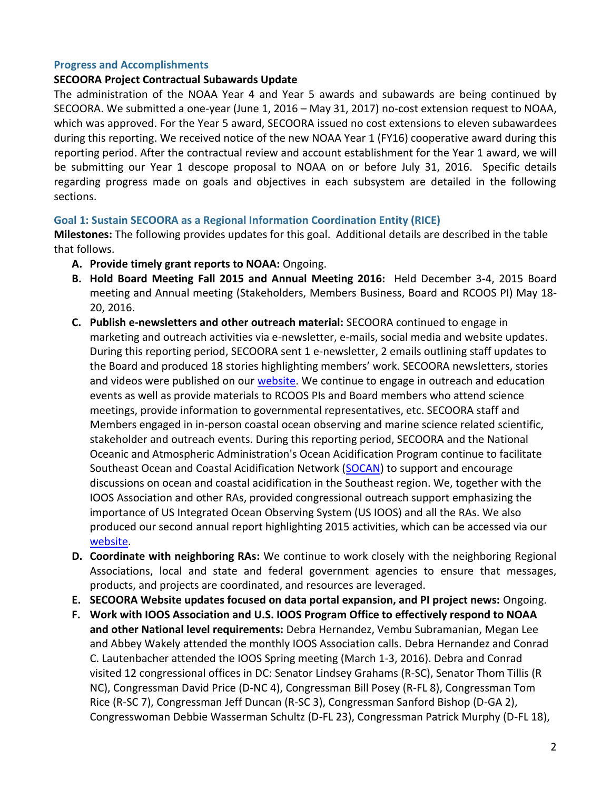### **Progress and Accomplishments**

#### **SECOORA Project Contractual Subawards Update**

The administration of the NOAA Year 4 and Year 5 awards and subawards are being continued by SECOORA. We submitted a one-year (June 1, 2016 – May 31, 2017) no-cost extension request to NOAA, which was approved. For the Year 5 award, SECOORA issued no cost extensions to eleven subawardees during this reporting. We received notice of the new NOAA Year 1 (FY16) cooperative award during this reporting period. After the contractual review and account establishment for the Year 1 award, we will be submitting our Year 1 descope proposal to NOAA on or before July 31, 2016. Specific details regarding progress made on goals and objectives in each subsystem are detailed in the following sections.

### **Goal 1: Sustain SECOORA as a Regional Information Coordination Entity (RICE)**

**Milestones:** The following provides updates for this goal. Additional details are described in the table that follows.

- **A. Provide timely grant reports to NOAA:** Ongoing.
- **B. Hold Board Meeting Fall 2015 and Annual Meeting 2016:** Held December 3-4, 2015 Board meeting and Annual meeting (Stakeholders, Members Business, Board and RCOOS PI) May 18- 20, 2016.
- **C. Publish e-newsletters and other outreach material:** SECOORA continued to engage in marketing and outreach activities via e-newsletter, e-mails, social media and website updates. During this reporting period, SECOORA sent 1 e-newsletter, 2 emails outlining staff updates to the Board and produced 18 stories highlighting members' work. SECOORA newsletters, stories and videos were published on our [website.](http://www.secoora.org/) We continue to engage in outreach and education events as well as provide materials to RCOOS PIs and Board members who attend science meetings, provide information to governmental representatives, etc. SECOORA staff and Members engaged in in-person coastal ocean observing and marine science related scientific, stakeholder and outreach events. During this reporting period, SECOORA and the National Oceanic and Atmospheric Administration's Ocean Acidification Program continue to facilitate Southeast Ocean and Coastal Acidification Network [\(SOCAN\)](http://secoora.org/socan) to support and encourage discussions on ocean and coastal acidification in the Southeast region. We, together with the IOOS Association and other RAs, provided congressional outreach support emphasizing the importance of US Integrated Ocean Observing System (US IOOS) and all the RAs. We also produced our second annual report highlighting 2015 activities, which can be accessed via our [website.](http://secoora.org/AnnualReport2015)
- **D. Coordinate with neighboring RAs:** We continue to work closely with the neighboring Regional Associations, local and state and federal government agencies to ensure that messages, products, and projects are coordinated, and resources are leveraged.
- **E. SECOORA Website updates focused on data portal expansion, and PI project news:** Ongoing.
- **F. Work with IOOS Association and U.S. IOOS Program Office to effectively respond to NOAA and other National level requirements:** Debra Hernandez, Vembu Subramanian, Megan Lee and Abbey Wakely attended the monthly IOOS Association calls. Debra Hernandez and Conrad C. Lautenbacher attended the IOOS Spring meeting (March 1-3, 2016). Debra and Conrad visited 12 congressional offices in DC: Senator Lindsey Grahams (R-SC), Senator Thom Tillis (R NC), Congressman David Price (D-NC 4), Congressman Bill Posey (R-FL 8), Congressman Tom Rice (R-SC 7), Congressman Jeff Duncan (R-SC 3), Congressman Sanford Bishop (D-GA 2), Congresswoman Debbie Wasserman Schultz (D-FL 23), Congressman Patrick Murphy (D-FL 18),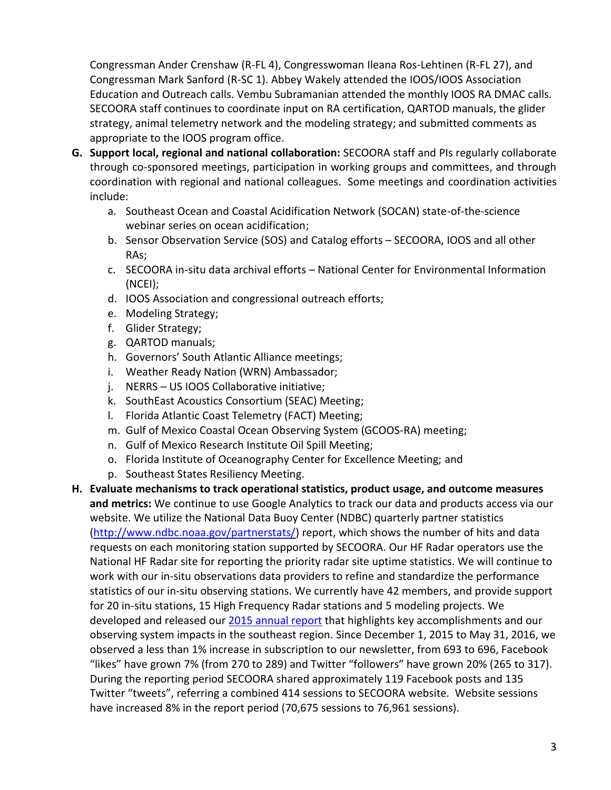Congressman Ander Crenshaw (R-FL 4), Congresswoman Ileana Ros-Lehtinen (R-FL 27), and Congressman Mark Sanford (R-SC 1). Abbey Wakely attended the IOOS/IOOS Association Education and Outreach calls. Vembu Subramanian attended the monthly IOOS RA DMAC calls. SECOORA staff continues to coordinate input on RA certification, QARTOD manuals, the glider strategy, animal telemetry network and the modeling strategy; and submitted comments as appropriate to the IOOS program office.

- **G. Support local, regional and national collaboration:** SECOORA staff and PIs regularly collaborate through co-sponsored meetings, participation in working groups and committees, and through coordination with regional and national colleagues. Some meetings and coordination activities include:
	- a. Southeast Ocean and Coastal Acidification Network (SOCAN) state-of-the-science webinar series on ocean acidification;
	- b. Sensor Observation Service (SOS) and Catalog efforts SECOORA, IOOS and all other RAs;
	- c. SECOORA in-situ data archival efforts National Center for Environmental Information (NCEI);
	- d. IOOS Association and congressional outreach efforts;
	- e. Modeling Strategy;
	- f. Glider Strategy;
	- g. QARTOD manuals;
	- h. Governors' South Atlantic Alliance meetings;
	- i. Weather Ready Nation (WRN) Ambassador;
	- j. NERRS US IOOS Collaborative initiative;
	- k. SouthEast Acoustics Consortium (SEAC) Meeting;
	- l. Florida Atlantic Coast Telemetry (FACT) Meeting;
	- m. Gulf of Mexico Coastal Ocean Observing System (GCOOS-RA) meeting;
	- n. Gulf of Mexico Research Institute Oil Spill Meeting;
	- o. Florida Institute of Oceanography Center for Excellence Meeting; and
	- p. Southeast States Resiliency Meeting.
- **H. Evaluate mechanisms to track operational statistics, product usage, and outcome measures and metrics:** We continue to use Google Analytics to track our data and products access via our website. We utilize the National Data Buoy Center (NDBC) quarterly partner statistics [\(http://www.ndbc.noaa.gov/partnerstats/\)](http://www.ndbc.noaa.gov/partnerstats/) report, which shows the number of hits and data requests on each monitoring station supported by SECOORA. Our HF Radar operators use the National HF Radar site for reporting the priority radar site uptime statistics. We will continue to work with our in-situ observations data providers to refine and standardize the performance statistics of our in-situ observing stations. We currently have 42 members, and provide support for 20 in-situ stations, 15 High Frequency Radar stations and 5 modeling projects. We developed and released our [2015 annual report](http://secoora.org/AnnualReport2015) that highlights key accomplishments and our observing system impacts in the southeast region. Since December 1, 2015 to May 31, 2016, we observed a less than 1% increase in subscription to our newsletter, from 693 to 696, Facebook "likes" have grown 7% (from 270 to 289) and Twitter "followers" have grown 20% (265 to 317). During the reporting period SECOORA shared approximately 119 Facebook posts and 135 Twitter "tweets", referring a combined 414 sessions to SECOORA website. Website sessions have increased 8% in the report period (70,675 sessions to 76,961 sessions).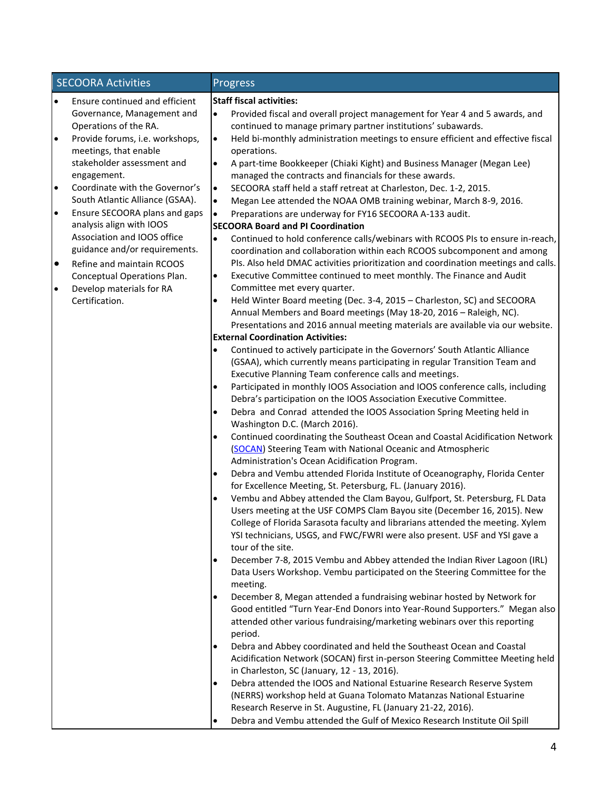|           | <b>SECOORA Activities</b>                 |           | Progress                                                                                                                                      |
|-----------|-------------------------------------------|-----------|-----------------------------------------------------------------------------------------------------------------------------------------------|
| $\bullet$ | Ensure continued and efficient            |           | <b>Staff fiscal activities:</b>                                                                                                               |
|           | Governance, Management and                | $\bullet$ | Provided fiscal and overall project management for Year 4 and 5 awards, and                                                                   |
|           | Operations of the RA.                     |           | continued to manage primary partner institutions' subawards.                                                                                  |
| $\bullet$ | Provide forums, i.e. workshops,           | $\bullet$ | Held bi-monthly administration meetings to ensure efficient and effective fiscal                                                              |
|           | meetings, that enable                     |           | operations.                                                                                                                                   |
|           | stakeholder assessment and<br>engagement. | $\bullet$ | A part-time Bookkeeper (Chiaki Kight) and Business Manager (Megan Lee)<br>managed the contracts and financials for these awards.              |
| $\bullet$ | Coordinate with the Governor's            | $\bullet$ | SECOORA staff held a staff retreat at Charleston, Dec. 1-2, 2015.                                                                             |
|           | South Atlantic Alliance (GSAA).           | $\bullet$ | Megan Lee attended the NOAA OMB training webinar, March 8-9, 2016.                                                                            |
| $\bullet$ | Ensure SECOORA plans and gaps             | $\bullet$ | Preparations are underway for FY16 SECOORA A-133 audit.                                                                                       |
|           | analysis align with IOOS                  |           | <b>SECOORA Board and PI Coordination</b>                                                                                                      |
|           | Association and IOOS office               | $\bullet$ | Continued to hold conference calls/webinars with RCOOS PIs to ensure in-reach,                                                                |
|           | guidance and/or requirements.             |           | coordination and collaboration within each RCOOS subcomponent and among                                                                       |
| $\bullet$ | Refine and maintain RCOOS                 |           | PIs. Also held DMAC activities prioritization and coordination meetings and calls.                                                            |
|           | Conceptual Operations Plan.               | $\bullet$ | Executive Committee continued to meet monthly. The Finance and Audit                                                                          |
| $\bullet$ | Develop materials for RA                  |           | Committee met every quarter.                                                                                                                  |
|           | Certification.                            | ٠         | Held Winter Board meeting (Dec. 3-4, 2015 - Charleston, SC) and SECOORA                                                                       |
|           |                                           |           | Annual Members and Board meetings (May 18-20, 2016 - Raleigh, NC).                                                                            |
|           |                                           |           | Presentations and 2016 annual meeting materials are available via our website.<br><b>External Coordination Activities:</b>                    |
|           |                                           | $\bullet$ | Continued to actively participate in the Governors' South Atlantic Alliance                                                                   |
|           |                                           |           | (GSAA), which currently means participating in regular Transition Team and                                                                    |
|           |                                           |           | Executive Planning Team conference calls and meetings.                                                                                        |
|           |                                           | $\bullet$ | Participated in monthly IOOS Association and IOOS conference calls, including                                                                 |
|           |                                           |           | Debra's participation on the IOOS Association Executive Committee.                                                                            |
|           |                                           | $\bullet$ | Debra and Conrad attended the IOOS Association Spring Meeting held in                                                                         |
|           |                                           |           | Washington D.C. (March 2016).                                                                                                                 |
|           |                                           | $\bullet$ | Continued coordinating the Southeast Ocean and Coastal Acidification Network                                                                  |
|           |                                           |           | (SOCAN) Steering Team with National Oceanic and Atmospheric                                                                                   |
|           |                                           |           | Administration's Ocean Acidification Program.                                                                                                 |
|           |                                           | $\bullet$ | Debra and Vembu attended Florida Institute of Oceanography, Florida Center<br>for Excellence Meeting, St. Petersburg, FL. (January 2016).     |
|           |                                           | $\bullet$ | Vembu and Abbey attended the Clam Bayou, Gulfport, St. Petersburg, FL Data                                                                    |
|           |                                           |           | Users meeting at the USF COMPS Clam Bayou site (December 16, 2015). New                                                                       |
|           |                                           |           | College of Florida Sarasota faculty and librarians attended the meeting. Xylem                                                                |
|           |                                           |           | YSI technicians, USGS, and FWC/FWRI were also present. USF and YSI gave a<br>tour of the site.                                                |
|           |                                           | $\bullet$ | December 7-8, 2015 Vembu and Abbey attended the Indian River Lagoon (IRL)                                                                     |
|           |                                           |           | Data Users Workshop. Vembu participated on the Steering Committee for the                                                                     |
|           |                                           |           | meeting.                                                                                                                                      |
|           |                                           |           | December 8, Megan attended a fundraising webinar hosted by Network for                                                                        |
|           |                                           |           | Good entitled "Turn Year-End Donors into Year-Round Supporters." Megan also                                                                   |
|           |                                           |           | attended other various fundraising/marketing webinars over this reporting                                                                     |
|           |                                           |           | period.                                                                                                                                       |
|           |                                           |           | Debra and Abbey coordinated and held the Southeast Ocean and Coastal                                                                          |
|           |                                           |           | Acidification Network (SOCAN) first in-person Steering Committee Meeting held                                                                 |
|           |                                           |           | in Charleston, SC (January, 12 - 13, 2016).                                                                                                   |
|           |                                           |           | Debra attended the IOOS and National Estuarine Research Reserve System<br>(NERRS) workshop held at Guana Tolomato Matanzas National Estuarine |
|           |                                           |           | Research Reserve in St. Augustine, FL (January 21-22, 2016).                                                                                  |
|           |                                           |           | Debra and Vembu attended the Gulf of Mexico Research Institute Oil Spill                                                                      |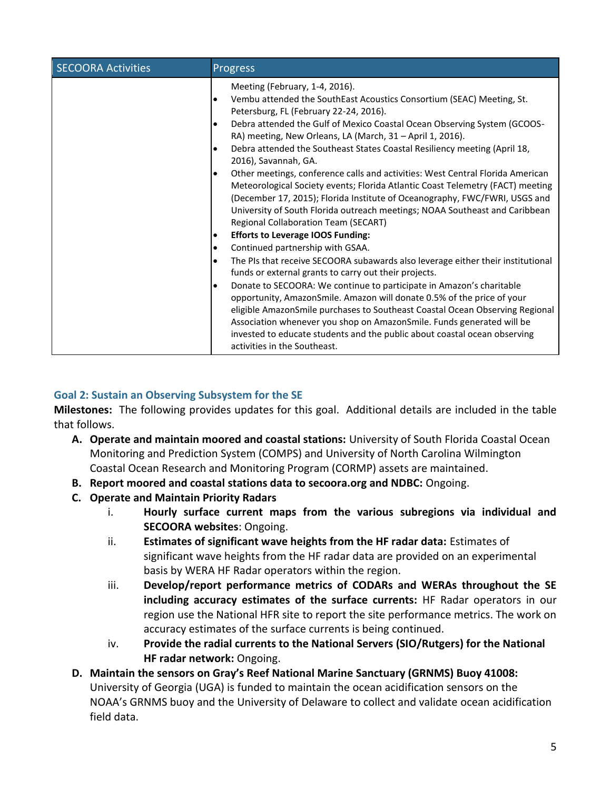| <b>SECOORA Activities</b> | <b>Progress</b>                                                                                                                                                                                                                                                                                                                                                                                                                                                                                                                                                                                                                                                                                                                                                                                                      |
|---------------------------|----------------------------------------------------------------------------------------------------------------------------------------------------------------------------------------------------------------------------------------------------------------------------------------------------------------------------------------------------------------------------------------------------------------------------------------------------------------------------------------------------------------------------------------------------------------------------------------------------------------------------------------------------------------------------------------------------------------------------------------------------------------------------------------------------------------------|
|                           | Meeting (February, 1-4, 2016).<br>Vembu attended the SouthEast Acoustics Consortium (SEAC) Meeting, St.<br>٠<br>Petersburg, FL (February 22-24, 2016).<br>Debra attended the Gulf of Mexico Coastal Ocean Observing System (GCOOS-<br>$\bullet$<br>RA) meeting, New Orleans, LA (March, 31 - April 1, 2016).<br>Debra attended the Southeast States Coastal Resiliency meeting (April 18,<br>$\bullet$<br>2016), Savannah, GA.<br>Other meetings, conference calls and activities: West Central Florida American<br>$\bullet$<br>Meteorological Society events; Florida Atlantic Coast Telemetry (FACT) meeting<br>(December 17, 2015); Florida Institute of Oceanography, FWC/FWRI, USGS and<br>University of South Florida outreach meetings; NOAA Southeast and Caribbean<br>Regional Collaboration Team (SECART) |
|                           | <b>Efforts to Leverage IOOS Funding:</b><br>٠                                                                                                                                                                                                                                                                                                                                                                                                                                                                                                                                                                                                                                                                                                                                                                        |
|                           | Continued partnership with GSAA.<br>$\bullet$                                                                                                                                                                                                                                                                                                                                                                                                                                                                                                                                                                                                                                                                                                                                                                        |
|                           | The PIs that receive SECOORA subawards also leverage either their institutional<br>$\bullet$<br>funds or external grants to carry out their projects.<br>Donate to SECOORA: We continue to participate in Amazon's charitable<br>٠<br>opportunity, AmazonSmile. Amazon will donate 0.5% of the price of your<br>eligible AmazonSmile purchases to Southeast Coastal Ocean Observing Regional<br>Association whenever you shop on AmazonSmile. Funds generated will be<br>invested to educate students and the public about coastal ocean observing<br>activities in the Southeast.                                                                                                                                                                                                                                   |

# **Goal 2: Sustain an Observing Subsystem for the SE**

**Milestones:** The following provides updates for this goal. Additional details are included in the table that follows.

- **A. Operate and maintain moored and coastal stations:** University of South Florida Coastal Ocean Monitoring and Prediction System (COMPS) and University of North Carolina Wilmington Coastal Ocean Research and Monitoring Program (CORMP) assets are maintained.
- **B. Report moored and coastal stations data to secoora.org and NDBC:** Ongoing.
- **C. Operate and Maintain Priority Radars** 
	- i. **Hourly surface current maps from the various subregions via individual and SECOORA websites**: Ongoing.
	- ii. **Estimates of significant wave heights from the HF radar data:** Estimates of significant wave heights from the HF radar data are provided on an experimental basis by WERA HF Radar operators within the region.
	- iii. **Develop/report performance metrics of CODARs and WERAs throughout the SE including accuracy estimates of the surface currents:** HF Radar operators in our region use the National HFR site to report the site performance metrics. The work on accuracy estimates of the surface currents is being continued.
	- iv. **Provide the radial currents to the National Servers (SIO/Rutgers) for the National HF radar network:** Ongoing.
- **D.** Maintain the sensors on Gray's Reef National Marine Sanctuary (GRNMS) Buoy 41008: University of Georgia (UGA) is funded to maintain the ocean acidification sensors on the NOAA's GRNMS buoy and the University of Delaware to collect and validate ocean acidification field data.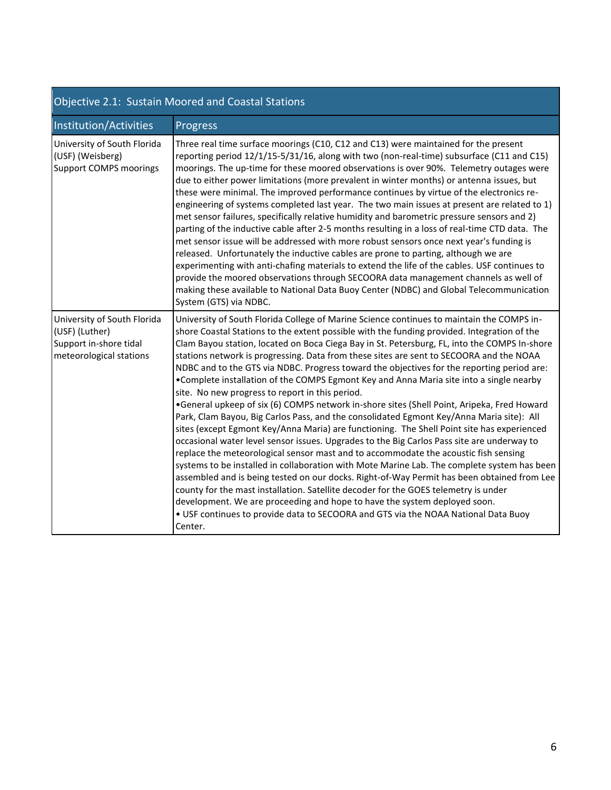| Objective 2.1: Sustain Moored and Coastal Stations                                                 |                                                                                                                                                                                                                                                                                                                                                                                                                                                                                                                                                                                                                                                                                                                                                                                                                                                                                                                                                                                                                                                                                                                                                                                                                                                                                                                                                                                                                                                                                                                                                                                 |  |  |  |
|----------------------------------------------------------------------------------------------------|---------------------------------------------------------------------------------------------------------------------------------------------------------------------------------------------------------------------------------------------------------------------------------------------------------------------------------------------------------------------------------------------------------------------------------------------------------------------------------------------------------------------------------------------------------------------------------------------------------------------------------------------------------------------------------------------------------------------------------------------------------------------------------------------------------------------------------------------------------------------------------------------------------------------------------------------------------------------------------------------------------------------------------------------------------------------------------------------------------------------------------------------------------------------------------------------------------------------------------------------------------------------------------------------------------------------------------------------------------------------------------------------------------------------------------------------------------------------------------------------------------------------------------------------------------------------------------|--|--|--|
| Institution/Activities                                                                             | Progress                                                                                                                                                                                                                                                                                                                                                                                                                                                                                                                                                                                                                                                                                                                                                                                                                                                                                                                                                                                                                                                                                                                                                                                                                                                                                                                                                                                                                                                                                                                                                                        |  |  |  |
| University of South Florida<br>(USF) (Weisberg)<br><b>Support COMPS moorings</b>                   | Three real time surface moorings (C10, C12 and C13) were maintained for the present<br>reporting period 12/1/15-5/31/16, along with two (non-real-time) subsurface (C11 and C15)<br>moorings. The up-time for these moored observations is over 90%. Telemetry outages were<br>due to either power limitations (more prevalent in winter months) or antenna issues, but<br>these were minimal. The improved performance continues by virtue of the electronics re-<br>engineering of systems completed last year. The two main issues at present are related to 1)<br>met sensor failures, specifically relative humidity and barometric pressure sensors and 2)<br>parting of the inductive cable after 2-5 months resulting in a loss of real-time CTD data. The<br>met sensor issue will be addressed with more robust sensors once next year's funding is<br>released. Unfortunately the inductive cables are prone to parting, although we are<br>experimenting with anti-chafing materials to extend the life of the cables. USF continues to<br>provide the moored observations through SECOORA data management channels as well of<br>making these available to National Data Buoy Center (NDBC) and Global Telecommunication<br>System (GTS) via NDBC.                                                                                                                                                                                                                                                                                                                 |  |  |  |
| University of South Florida<br>(USF) (Luther)<br>Support in-shore tidal<br>meteorological stations | University of South Florida College of Marine Science continues to maintain the COMPS in-<br>shore Coastal Stations to the extent possible with the funding provided. Integration of the<br>Clam Bayou station, located on Boca Ciega Bay in St. Petersburg, FL, into the COMPS In-shore<br>stations network is progressing. Data from these sites are sent to SECOORA and the NOAA<br>NDBC and to the GTS via NDBC. Progress toward the objectives for the reporting period are:<br>. Complete installation of the COMPS Egmont Key and Anna Maria site into a single nearby<br>site. No new progress to report in this period.<br>•General upkeep of six (6) COMPS network in-shore sites (Shell Point, Aripeka, Fred Howard<br>Park, Clam Bayou, Big Carlos Pass, and the consolidated Egmont Key/Anna Maria site): All<br>sites (except Egmont Key/Anna Maria) are functioning. The Shell Point site has experienced<br>occasional water level sensor issues. Upgrades to the Big Carlos Pass site are underway to<br>replace the meteorological sensor mast and to accommodate the acoustic fish sensing<br>systems to be installed in collaboration with Mote Marine Lab. The complete system has been<br>assembled and is being tested on our docks. Right-of-Way Permit has been obtained from Lee<br>county for the mast installation. Satellite decoder for the GOES telemetry is under<br>development. We are proceeding and hope to have the system deployed soon.<br>. USF continues to provide data to SECOORA and GTS via the NOAA National Data Buoy<br>Center. |  |  |  |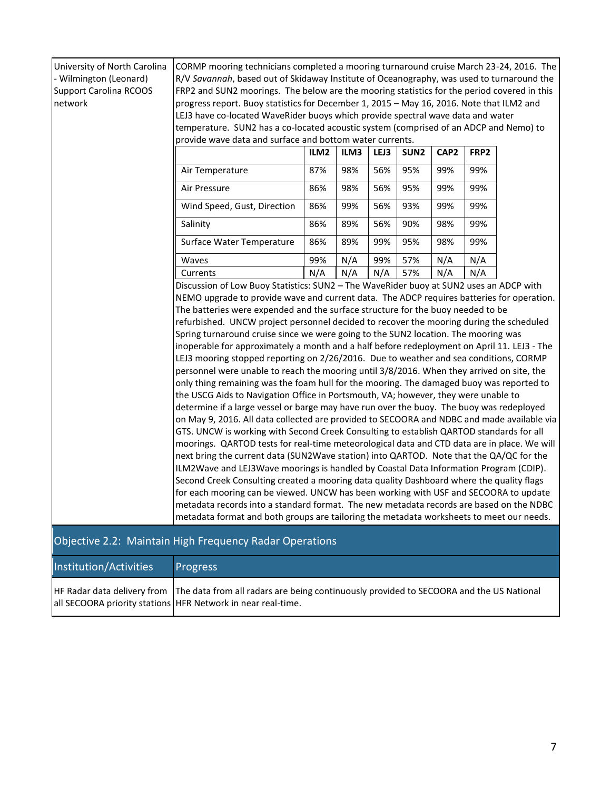| University of North Carolina                                                              | CORMP mooring technicians completed a mooring turnaround cruise March 23-24, 2016. The                                                                                              |                  |      |      |                  |                  |      |  |
|-------------------------------------------------------------------------------------------|-------------------------------------------------------------------------------------------------------------------------------------------------------------------------------------|------------------|------|------|------------------|------------------|------|--|
| - Wilmington (Leonard)                                                                    | R/V Savannah, based out of Skidaway Institute of Oceanography, was used to turnaround the                                                                                           |                  |      |      |                  |                  |      |  |
| <b>Support Carolina RCOOS</b>                                                             | FRP2 and SUN2 moorings. The below are the mooring statistics for the period covered in this                                                                                         |                  |      |      |                  |                  |      |  |
| network                                                                                   | progress report. Buoy statistics for December 1, 2015 - May 16, 2016. Note that ILM2 and                                                                                            |                  |      |      |                  |                  |      |  |
|                                                                                           | LEJ3 have co-located WaveRider buoys which provide spectral wave data and water<br>temperature. SUN2 has a co-located acoustic system (comprised of an ADCP and Nemo) to            |                  |      |      |                  |                  |      |  |
|                                                                                           | provide wave data and surface and bottom water currents.                                                                                                                            |                  |      |      |                  |                  |      |  |
|                                                                                           |                                                                                                                                                                                     | ILM <sub>2</sub> | ILM3 | LEJ3 | SUN <sub>2</sub> | CAP <sub>2</sub> | FRP2 |  |
|                                                                                           | Air Temperature                                                                                                                                                                     | 87%              | 98%  | 56%  | 95%              | 99%              | 99%  |  |
|                                                                                           | Air Pressure                                                                                                                                                                        | 86%              | 98%  | 56%  | 95%              | 99%              | 99%  |  |
|                                                                                           | Wind Speed, Gust, Direction                                                                                                                                                         | 86%              | 99%  | 56%  | 93%              | 99%              | 99%  |  |
|                                                                                           | Salinity                                                                                                                                                                            | 86%              | 89%  | 56%  | 90%              | 98%              | 99%  |  |
|                                                                                           | Surface Water Temperature                                                                                                                                                           | 86%              | 89%  | 99%  | 95%              | 98%              | 99%  |  |
|                                                                                           | Waves                                                                                                                                                                               | 99%              | N/A  | 99%  | 57%              | N/A              | N/A  |  |
|                                                                                           | Currents                                                                                                                                                                            | N/A              | N/A  | N/A  | 57%              | N/A              | N/A  |  |
|                                                                                           | Discussion of Low Buoy Statistics: SUN2 - The WaveRider buoy at SUN2 uses an ADCP with                                                                                              |                  |      |      |                  |                  |      |  |
|                                                                                           | NEMO upgrade to provide wave and current data. The ADCP requires batteries for operation.                                                                                           |                  |      |      |                  |                  |      |  |
|                                                                                           | The batteries were expended and the surface structure for the buoy needed to be                                                                                                     |                  |      |      |                  |                  |      |  |
|                                                                                           | refurbished. UNCW project personnel decided to recover the mooring during the scheduled<br>Spring turnaround cruise since we were going to the SUN2 location. The mooring was       |                  |      |      |                  |                  |      |  |
|                                                                                           | inoperable for approximately a month and a half before redeployment on April 11. LEJ3 - The                                                                                         |                  |      |      |                  |                  |      |  |
|                                                                                           | LEJ3 mooring stopped reporting on 2/26/2016. Due to weather and sea conditions, CORMP                                                                                               |                  |      |      |                  |                  |      |  |
| personnel were unable to reach the mooring until 3/8/2016. When they arrived on site, the |                                                                                                                                                                                     |                  |      |      |                  |                  |      |  |
|                                                                                           | only thing remaining was the foam hull for the mooring. The damaged buoy was reported to                                                                                            |                  |      |      |                  |                  |      |  |
|                                                                                           | the USCG Aids to Navigation Office in Portsmouth, VA; however, they were unable to                                                                                                  |                  |      |      |                  |                  |      |  |
|                                                                                           | determine if a large vessel or barge may have run over the buoy. The buoy was redeployed                                                                                            |                  |      |      |                  |                  |      |  |
|                                                                                           | on May 9, 2016. All data collected are provided to SECOORA and NDBC and made available via                                                                                          |                  |      |      |                  |                  |      |  |
|                                                                                           | GTS. UNCW is working with Second Creek Consulting to establish QARTOD standards for all                                                                                             |                  |      |      |                  |                  |      |  |
|                                                                                           | moorings. QARTOD tests for real-time meteorological data and CTD data are in place. We will                                                                                         |                  |      |      |                  |                  |      |  |
|                                                                                           | next bring the current data (SUN2Wave station) into QARTOD. Note that the QA/QC for the                                                                                             |                  |      |      |                  |                  |      |  |
|                                                                                           | ILM2Wave and LEJ3Wave moorings is handled by Coastal Data Information Program (CDIP).                                                                                               |                  |      |      |                  |                  |      |  |
|                                                                                           | Second Creek Consulting created a mooring data quality Dashboard where the quality flags                                                                                            |                  |      |      |                  |                  |      |  |
|                                                                                           | for each mooring can be viewed. UNCW has been working with USF and SECOORA to update                                                                                                |                  |      |      |                  |                  |      |  |
|                                                                                           | metadata records into a standard format. The new metadata records are based on the NDBC<br>metadata format and both groups are tailoring the metadata worksheets to meet our needs. |                  |      |      |                  |                  |      |  |
|                                                                                           | Objective 2.2: Maintain High Frequency Radar Operations                                                                                                                             |                  |      |      |                  |                  |      |  |
| Institution/Activities                                                                    | Progress                                                                                                                                                                            |                  |      |      |                  |                  |      |  |
| HF Radar data delivery from                                                               | The data from all radars are being continuously provided to SECOORA and the US National<br>all SECOORA priority stations HFR Network in near real-time.                             |                  |      |      |                  |                  |      |  |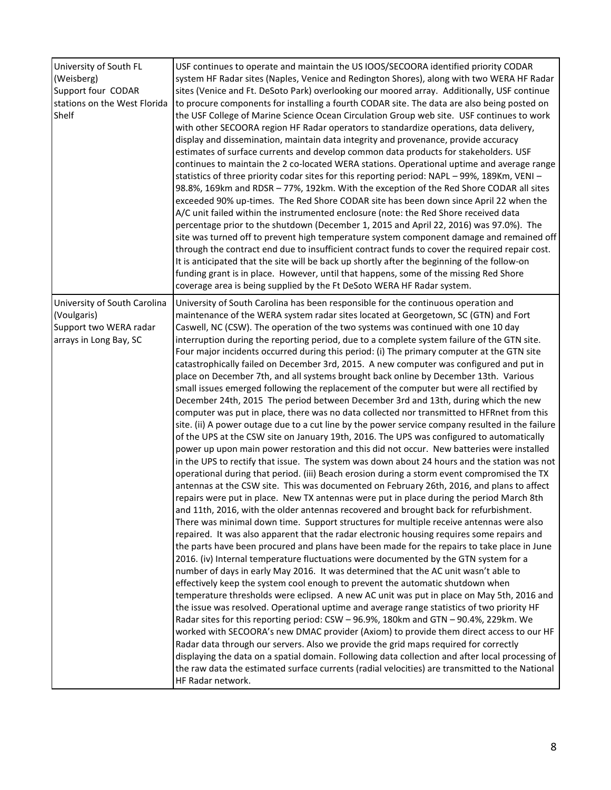| University of South FL<br>(Weisberg)<br>Support four CODAR<br>stations on the West Florida<br>Shelf | USF continues to operate and maintain the US IOOS/SECOORA identified priority CODAR<br>system HF Radar sites (Naples, Venice and Redington Shores), along with two WERA HF Radar<br>sites (Venice and Ft. DeSoto Park) overlooking our moored array. Additionally, USF continue<br>to procure components for installing a fourth CODAR site. The data are also being posted on<br>the USF College of Marine Science Ocean Circulation Group web site. USF continues to work<br>with other SECOORA region HF Radar operators to standardize operations, data delivery,<br>display and dissemination, maintain data integrity and provenance, provide accuracy<br>estimates of surface currents and develop common data products for stakeholders. USF<br>continues to maintain the 2 co-located WERA stations. Operational uptime and average range<br>statistics of three priority codar sites for this reporting period: NAPL - 99%, 189Km, VENI -<br>98.8%, 169km and RDSR - 77%, 192km. With the exception of the Red Shore CODAR all sites<br>exceeded 90% up-times. The Red Shore CODAR site has been down since April 22 when the<br>A/C unit failed within the instrumented enclosure (note: the Red Shore received data<br>percentage prior to the shutdown (December 1, 2015 and April 22, 2016) was 97.0%). The<br>site was turned off to prevent high temperature system component damage and remained off<br>through the contract end due to insufficient contract funds to cover the required repair cost.<br>It is anticipated that the site will be back up shortly after the beginning of the follow-on<br>funding grant is in place. However, until that happens, some of the missing Red Shore<br>coverage area is being supplied by the Ft DeSoto WERA HF Radar system.                                                                                                                                                                                                                                                                                                                                                                                                                                                                                                                                                                                                                                                                                                                                                                                                                                                                                                                                                                                                                                                                                                                                                                               |
|-----------------------------------------------------------------------------------------------------|--------------------------------------------------------------------------------------------------------------------------------------------------------------------------------------------------------------------------------------------------------------------------------------------------------------------------------------------------------------------------------------------------------------------------------------------------------------------------------------------------------------------------------------------------------------------------------------------------------------------------------------------------------------------------------------------------------------------------------------------------------------------------------------------------------------------------------------------------------------------------------------------------------------------------------------------------------------------------------------------------------------------------------------------------------------------------------------------------------------------------------------------------------------------------------------------------------------------------------------------------------------------------------------------------------------------------------------------------------------------------------------------------------------------------------------------------------------------------------------------------------------------------------------------------------------------------------------------------------------------------------------------------------------------------------------------------------------------------------------------------------------------------------------------------------------------------------------------------------------------------------------------------------------------------------------------------------------------------------------------------------------------------------------------------------------------------------------------------------------------------------------------------------------------------------------------------------------------------------------------------------------------------------------------------------------------------------------------------------------------------------------------------------------------------------------------------------------------------------------------------------------------------------------------------------------------------------------------------------------------------------------------------------------------------------------------------------------------------------------------------------------------------------------------------------------------------------------------------------------------------------------------------------------------------------------------------------------------------|
| University of South Carolina<br>(Voulgaris)<br>Support two WERA radar<br>arrays in Long Bay, SC     | University of South Carolina has been responsible for the continuous operation and<br>maintenance of the WERA system radar sites located at Georgetown, SC (GTN) and Fort<br>Caswell, NC (CSW). The operation of the two systems was continued with one 10 day<br>interruption during the reporting period, due to a complete system failure of the GTN site.<br>Four major incidents occurred during this period: (i) The primary computer at the GTN site<br>catastrophically failed on December 3rd, 2015. A new computer was configured and put in<br>place on December 7th, and all systems brought back online by December 13th. Various<br>small issues emerged following the replacement of the computer but were all rectified by<br>December 24th, 2015 The period between December 3rd and 13th, during which the new<br>computer was put in place, there was no data collected nor transmitted to HFRnet from this<br>site. (ii) A power outage due to a cut line by the power service company resulted in the failure<br>of the UPS at the CSW site on January 19th, 2016. The UPS was configured to automatically<br>power up upon main power restoration and this did not occur. New batteries were installed<br>in the UPS to rectify that issue. The system was down about 24 hours and the station was not<br>operational during that period. (iii) Beach erosion during a storm event compromised the TX<br>antennas at the CSW site. This was documented on February 26th, 2016, and plans to affect<br>repairs were put in place. New TX antennas were put in place during the period March 8th<br>and 11th, 2016, with the older antennas recovered and brought back for refurbishment.<br>There was minimal down time. Support structures for multiple receive antennas were also<br>repaired. It was also apparent that the radar electronic housing requires some repairs and<br>the parts have been procured and plans have been made for the repairs to take place in June<br>2016. (iv) Internal temperature fluctuations were documented by the GTN system for a<br>number of days in early May 2016. It was determined that the AC unit wasn't able to<br>effectively keep the system cool enough to prevent the automatic shutdown when<br>temperature thresholds were eclipsed. A new AC unit was put in place on May 5th, 2016 and<br>the issue was resolved. Operational uptime and average range statistics of two priority HF<br>Radar sites for this reporting period: CSW - 96.9%, 180km and GTN - 90.4%, 229km. We<br>worked with SECOORA's new DMAC provider (Axiom) to provide them direct access to our HF<br>Radar data through our servers. Also we provide the grid maps required for correctly<br>displaying the data on a spatial domain. Following data collection and after local processing of<br>the raw data the estimated surface currents (radial velocities) are transmitted to the National<br>HF Radar network. |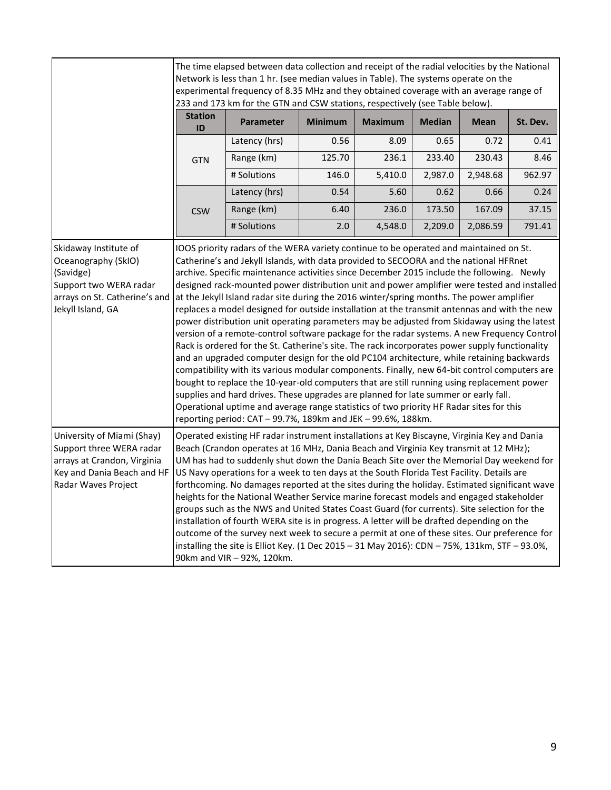|                                                                                                                                            | The time elapsed between data collection and receipt of the radial velocities by the National<br>Network is less than 1 hr. (see median values in Table). The systems operate on the<br>experimental frequency of 8.35 MHz and they obtained coverage with an average range of<br>233 and 173 km for the GTN and CSW stations, respectively (see Table below).                                                                                                                                                                                                                                                                                                                                                                                                                                                                                                                                                                                                                                                                                                                                                                                                                                                                                                                                                                                                                                                        |                  |                |                |               |             |          |
|--------------------------------------------------------------------------------------------------------------------------------------------|-----------------------------------------------------------------------------------------------------------------------------------------------------------------------------------------------------------------------------------------------------------------------------------------------------------------------------------------------------------------------------------------------------------------------------------------------------------------------------------------------------------------------------------------------------------------------------------------------------------------------------------------------------------------------------------------------------------------------------------------------------------------------------------------------------------------------------------------------------------------------------------------------------------------------------------------------------------------------------------------------------------------------------------------------------------------------------------------------------------------------------------------------------------------------------------------------------------------------------------------------------------------------------------------------------------------------------------------------------------------------------------------------------------------------|------------------|----------------|----------------|---------------|-------------|----------|
|                                                                                                                                            | <b>Station</b><br>ID                                                                                                                                                                                                                                                                                                                                                                                                                                                                                                                                                                                                                                                                                                                                                                                                                                                                                                                                                                                                                                                                                                                                                                                                                                                                                                                                                                                                  | <b>Parameter</b> | <b>Minimum</b> | <b>Maximum</b> | <b>Median</b> | <b>Mean</b> | St. Dev. |
|                                                                                                                                            |                                                                                                                                                                                                                                                                                                                                                                                                                                                                                                                                                                                                                                                                                                                                                                                                                                                                                                                                                                                                                                                                                                                                                                                                                                                                                                                                                                                                                       | Latency (hrs)    | 0.56           | 8.09           | 0.65          | 0.72        | 0.41     |
|                                                                                                                                            | <b>GTN</b>                                                                                                                                                                                                                                                                                                                                                                                                                                                                                                                                                                                                                                                                                                                                                                                                                                                                                                                                                                                                                                                                                                                                                                                                                                                                                                                                                                                                            | Range (km)       | 125.70         | 236.1          | 233.40        | 230.43      | 8.46     |
|                                                                                                                                            |                                                                                                                                                                                                                                                                                                                                                                                                                                                                                                                                                                                                                                                                                                                                                                                                                                                                                                                                                                                                                                                                                                                                                                                                                                                                                                                                                                                                                       | # Solutions      | 146.0          | 5,410.0        | 2,987.0       | 2,948.68    | 962.97   |
|                                                                                                                                            |                                                                                                                                                                                                                                                                                                                                                                                                                                                                                                                                                                                                                                                                                                                                                                                                                                                                                                                                                                                                                                                                                                                                                                                                                                                                                                                                                                                                                       | Latency (hrs)    | 0.54           | 5.60           | 0.62          | 0.66        | 0.24     |
|                                                                                                                                            | <b>CSW</b>                                                                                                                                                                                                                                                                                                                                                                                                                                                                                                                                                                                                                                                                                                                                                                                                                                                                                                                                                                                                                                                                                                                                                                                                                                                                                                                                                                                                            | Range (km)       | 6.40           | 236.0          | 173.50        | 167.09      | 37.15    |
|                                                                                                                                            |                                                                                                                                                                                                                                                                                                                                                                                                                                                                                                                                                                                                                                                                                                                                                                                                                                                                                                                                                                                                                                                                                                                                                                                                                                                                                                                                                                                                                       | # Solutions      | 2.0            | 4,548.0        | 2,209.0       | 2,086.59    | 791.41   |
| Skidaway Institute of<br>Oceanography (SkIO)<br>(Savidge)<br>Support two WERA radar<br>arrays on St. Catherine's and<br>Jekyll Island, GA  | IOOS priority radars of the WERA variety continue to be operated and maintained on St.<br>Catherine's and Jekyll Islands, with data provided to SECOORA and the national HFRnet<br>archive. Specific maintenance activities since December 2015 include the following. Newly<br>designed rack-mounted power distribution unit and power amplifier were tested and installed<br>at the Jekyll Island radar site during the 2016 winter/spring months. The power amplifier<br>replaces a model designed for outside installation at the transmit antennas and with the new<br>power distribution unit operating parameters may be adjusted from Skidaway using the latest<br>version of a remote-control software package for the radar systems. A new Frequency Control<br>Rack is ordered for the St. Catherine's site. The rack incorporates power supply functionality<br>and an upgraded computer design for the old PC104 architecture, while retaining backwards<br>compatibility with its various modular components. Finally, new 64-bit control computers are<br>bought to replace the 10-year-old computers that are still running using replacement power<br>supplies and hard drives. These upgrades are planned for late summer or early fall.<br>Operational uptime and average range statistics of two priority HF Radar sites for this<br>reporting period: CAT - 99.7%, 189km and JEK - 99.6%, 188km. |                  |                |                |               |             |          |
| University of Miami (Shay)<br>Support three WERA radar<br>arrays at Crandon, Virginia<br>Key and Dania Beach and HF<br>Radar Waves Project | Operated existing HF radar instrument installations at Key Biscayne, Virginia Key and Dania<br>Beach (Crandon operates at 16 MHz, Dania Beach and Virginia Key transmit at 12 MHz);<br>UM has had to suddenly shut down the Dania Beach Site over the Memorial Day weekend for<br>US Navy operations for a week to ten days at the South Florida Test Facility. Details are<br>forthcoming. No damages reported at the sites during the holiday. Estimated significant wave<br>heights for the National Weather Service marine forecast models and engaged stakeholder<br>groups such as the NWS and United States Coast Guard (for currents). Site selection for the<br>installation of fourth WERA site is in progress. A letter will be drafted depending on the<br>outcome of the survey next week to secure a permit at one of these sites. Our preference for<br>installing the site is Elliot Key. (1 Dec 2015 - 31 May 2016): CDN - 75%, 131km, STF - 93.0%,<br>90km and VIR - 92%, 120km.                                                                                                                                                                                                                                                                                                                                                                                                                    |                  |                |                |               |             |          |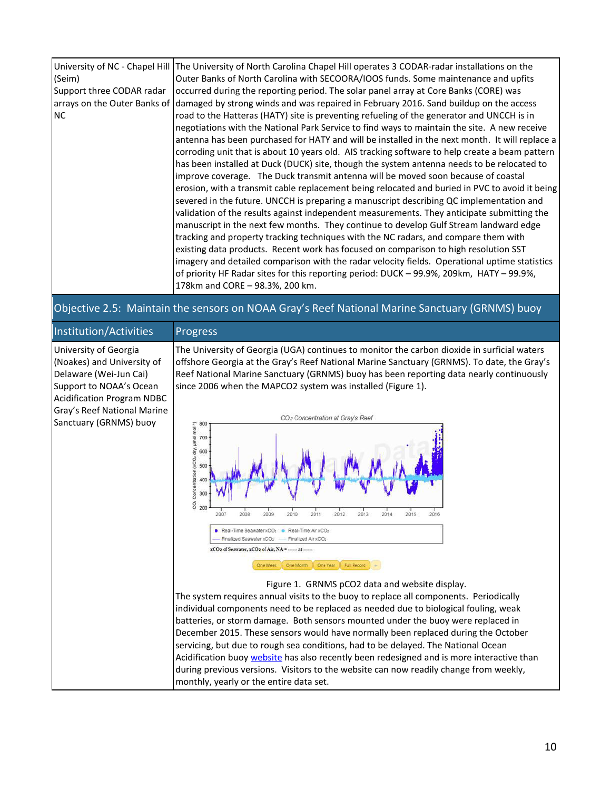| (Seim)<br>Support three CODAR radar<br><b>NC</b> | University of NC - Chapel Hill The University of North Carolina Chapel Hill operates 3 CODAR-radar installations on the<br>Outer Banks of North Carolina with SECOORA/IOOS funds. Some maintenance and upfits<br>occurred during the reporting period. The solar panel array at Core Banks (CORE) was<br>arrays on the Outer Banks of damaged by strong winds and was repaired in February 2016. Sand buildup on the access<br>road to the Hatteras (HATY) site is preventing refueling of the generator and UNCCH is in<br>negotiations with the National Park Service to find ways to maintain the site. A new receive<br>antenna has been purchased for HATY and will be installed in the next month. It will replace a<br>corroding unit that is about 10 years old. AIS tracking software to help create a beam pattern<br>has been installed at Duck (DUCK) site, though the system antenna needs to be relocated to<br>improve coverage. The Duck transmit antenna will be moved soon because of coastal<br>erosion, with a transmit cable replacement being relocated and buried in PVC to avoid it being<br>severed in the future. UNCCH is preparing a manuscript describing QC implementation and<br>validation of the results against independent measurements. They anticipate submitting the<br>manuscript in the next few months. They continue to develop Gulf Stream landward edge<br>tracking and property tracking techniques with the NC radars, and compare them with<br>existing data products. Recent work has focused on comparison to high resolution SST<br>imagery and detailed comparison with the radar velocity fields. Operational uptime statistics<br>of priority HF Radar sites for this reporting period: DUCK - 99.9%, 209km, HATY - 99.9%,<br>178km and CORE - 98.3%, 200 km. |
|--------------------------------------------------|--------------------------------------------------------------------------------------------------------------------------------------------------------------------------------------------------------------------------------------------------------------------------------------------------------------------------------------------------------------------------------------------------------------------------------------------------------------------------------------------------------------------------------------------------------------------------------------------------------------------------------------------------------------------------------------------------------------------------------------------------------------------------------------------------------------------------------------------------------------------------------------------------------------------------------------------------------------------------------------------------------------------------------------------------------------------------------------------------------------------------------------------------------------------------------------------------------------------------------------------------------------------------------------------------------------------------------------------------------------------------------------------------------------------------------------------------------------------------------------------------------------------------------------------------------------------------------------------------------------------------------------------------------------------------------------------------------------------------------------------------------------------------------------------------------------------|
|--------------------------------------------------|--------------------------------------------------------------------------------------------------------------------------------------------------------------------------------------------------------------------------------------------------------------------------------------------------------------------------------------------------------------------------------------------------------------------------------------------------------------------------------------------------------------------------------------------------------------------------------------------------------------------------------------------------------------------------------------------------------------------------------------------------------------------------------------------------------------------------------------------------------------------------------------------------------------------------------------------------------------------------------------------------------------------------------------------------------------------------------------------------------------------------------------------------------------------------------------------------------------------------------------------------------------------------------------------------------------------------------------------------------------------------------------------------------------------------------------------------------------------------------------------------------------------------------------------------------------------------------------------------------------------------------------------------------------------------------------------------------------------------------------------------------------------------------------------------------------------|

Objective 2.5: Maintain the sensors on NOAA Gray's Reef National Marine Sanctuary (GRNMS) buoy

| Institution/Activities                                                                                                                                                                                 | Progress                                                                                                                                                                                                                                                                                                                                                                                                                                                                                                                                                                                                                                                                                                                      |
|--------------------------------------------------------------------------------------------------------------------------------------------------------------------------------------------------------|-------------------------------------------------------------------------------------------------------------------------------------------------------------------------------------------------------------------------------------------------------------------------------------------------------------------------------------------------------------------------------------------------------------------------------------------------------------------------------------------------------------------------------------------------------------------------------------------------------------------------------------------------------------------------------------------------------------------------------|
| University of Georgia<br>(Noakes) and University of<br>Delaware (Wei-Jun Cai)<br>Support to NOAA's Ocean<br><b>Acidification Program NDBC</b><br>Gray's Reef National Marine<br>Sanctuary (GRNMS) buoy | The University of Georgia (UGA) continues to monitor the carbon dioxide in surficial waters<br>offshore Georgia at the Gray's Reef National Marine Sanctuary (GRNMS). To date, the Gray's<br>Reef National Marine Sanctuary (GRNMS) buoy has been reporting data nearly continuously<br>since 2006 when the MAPCO2 system was installed (Figure 1).<br>CO <sub>2</sub> Concentration at Gray's Reef<br>800<br>CO <sub>2</sub> Concentration (xCO <sub>2</sub> dry, umol mol <sup>-1</sup> )<br>700<br>600<br>500<br>400<br>300                                                                                                                                                                                                |
|                                                                                                                                                                                                        | 200<br>2012<br>2013<br>2008<br>2009<br>2010<br>2011<br>2014<br>2015<br>2016<br>2007<br>Real-Time Seawater xCO <sub>2</sub> e Real-Time Air xCO <sub>2</sub><br>Finalized Seawater xCO <sub>2</sub><br>Finalized Air xCO <sub>z</sub><br>xCO <sub>2</sub> of Seawater, xCO <sub>2</sub> of Air, NA =  at<br>One Year<br>One Month<br><b>Full Record</b><br>One Week                                                                                                                                                                                                                                                                                                                                                            |
|                                                                                                                                                                                                        | Figure 1. GRNMS pCO2 data and website display.<br>The system requires annual visits to the buoy to replace all components. Periodically<br>individual components need to be replaced as needed due to biological fouling, weak<br>batteries, or storm damage. Both sensors mounted under the buoy were replaced in<br>December 2015. These sensors would have normally been replaced during the October<br>servicing, but due to rough sea conditions, had to be delayed. The National Ocean<br>Acidification buoy website has also recently been redesigned and is more interactive than<br>during previous versions. Visitors to the website can now readily change from weekly,<br>monthly, yearly or the entire data set. |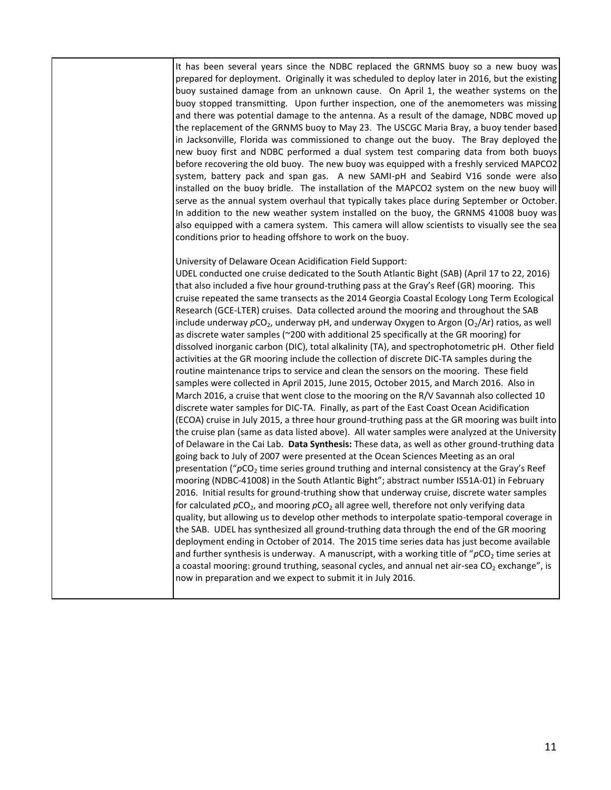It has been several years since the NDBC replaced the GRNMS buoy so a new buoy was prepared for deployment. Originally it was scheduled to deploy later in 2016, but the existing buoy sustained damage from an unknown cause. On April 1, the weather systems on the buoy stopped transmitting. Upon further inspection, one of the anemometers was missing and there was potential damage to the antenna. As a result of the damage, NDBC moved up the replacement of the GRNMS buoy to May 23. The USCGC Maria Bray, a buoy tender based in Jacksonville, Florida was commissioned to change out the buoy. The Bray deployed the new buoy first and NDBC performed a dual system test comparing data from both buoys before recovering the old buoy. The new buoy was equipped with a freshly serviced MAPCO2 system, battery pack and span gas. A new SAMI-pH and Seabird V16 sonde were also installed on the buoy bridle. The installation of the MAPCO2 system on the new buoy will serve as the annual system overhaul that typically takes place during September or October. In addition to the new weather system installed on the buoy, the GRNMS 41008 buoy was also equipped with a camera system. This camera will allow scientists to visually see the sea conditions prior to heading offshore to work on the buoy.

University of Delaware Ocean Acidification Field Support:

UDEL conducted one cruise dedicated to the South Atlantic Bight (SAB) (April 17 to 22, 2016) that also included a five hour ground-truthing pass at the Gray's Reef (GR) mooring. This cruise repeated the same transects as the 2014 Georgia Coastal Ecology Long Term Ecological Research (GCE-LTER) cruises. Data collected around the mooring and throughout the SAB include underway  $pCO<sub>2</sub>$ , underway pH, and underway Oxygen to Argon (O<sub>2</sub>/Ar) ratios, as well as discrete water samples (~200 with additional 25 specifically at the GR mooring) for dissolved inorganic carbon (DIC), total alkalinity (TA), and spectrophotometric pH. Other field activities at the GR mooring include the collection of discrete DIC-TA samples during the routine maintenance trips to service and clean the sensors on the mooring. These field samples were collected in April 2015, June 2015, October 2015, and March 2016. Also in March 2016, a cruise that went close to the mooring on the R/V Savannah also collected 10 discrete water samples for DIC-TA. Finally, as part of the East Coast Ocean Acidification (ECOA) cruise in July 2015, a three hour ground-truthing pass at the GR mooring was built into the cruise plan (same as data listed above). All water samples were analyzed at the University of Delaware in the Cai Lab. **Data Synthesis:** These data, as well as other ground-truthing data going back to July of 2007 were presented at the Ocean Sciences Meeting as an oral presentation ("pCO<sub>2</sub> time series ground truthing and internal consistency at the Gray's Reef mooring (NDBC-41008) in the South Atlantic Bight"; abstract number IS51A-01) in February 2016. Initial results for ground-truthing show that underway cruise, discrete water samples for calculated  $pCO_2$ , and mooring  $pCO_2$  all agree well, therefore not only verifying data quality, but allowing us to develop other methods to interpolate spatio-temporal coverage in the SAB. UDEL has synthesized all ground-truthing data through the end of the GR mooring deployment ending in October of 2014. The 2015 time series data has just become available and further synthesis is underway. A manuscript, with a working title of "pCO<sub>2</sub> time series at a coastal mooring: ground truthing, seasonal cycles, and annual net air-sea  $CO<sub>2</sub>$  exchange", is now in preparation and we expect to submit it in July 2016.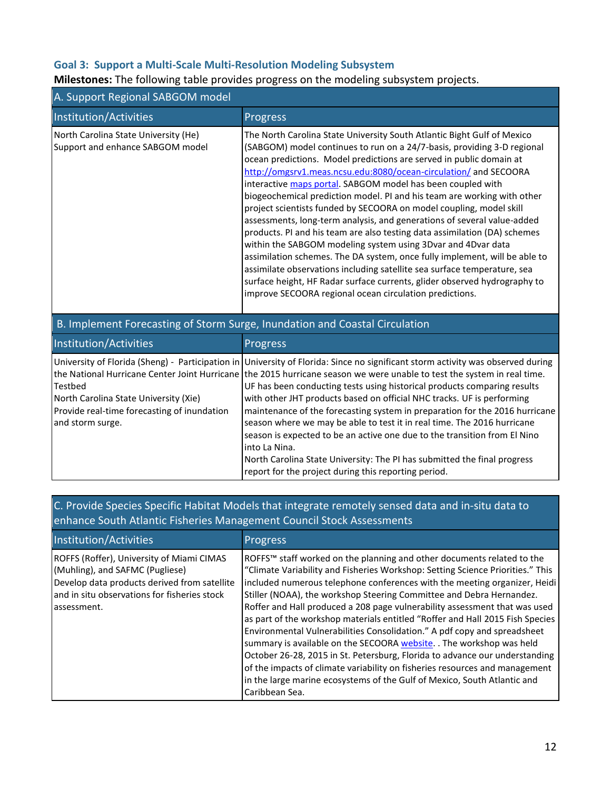# **Goal 3: Support a Multi-Scale Multi-Resolution Modeling Subsystem**

# **Milestones:** The following table provides progress on the modeling subsystem projects.

| A. Support Regional SABGOM model                                                                                    |                                                                                                                                                                                                                                                                                                                                                                                                                                                                                                                                                                                                                                                                                                                                                                                                                                                                                                                                                                                                                                          |  |  |  |
|---------------------------------------------------------------------------------------------------------------------|------------------------------------------------------------------------------------------------------------------------------------------------------------------------------------------------------------------------------------------------------------------------------------------------------------------------------------------------------------------------------------------------------------------------------------------------------------------------------------------------------------------------------------------------------------------------------------------------------------------------------------------------------------------------------------------------------------------------------------------------------------------------------------------------------------------------------------------------------------------------------------------------------------------------------------------------------------------------------------------------------------------------------------------|--|--|--|
| Institution/Activities                                                                                              | Progress                                                                                                                                                                                                                                                                                                                                                                                                                                                                                                                                                                                                                                                                                                                                                                                                                                                                                                                                                                                                                                 |  |  |  |
| North Carolina State University (He)<br>Support and enhance SABGOM model                                            | The North Carolina State University South Atlantic Bight Gulf of Mexico<br>(SABGOM) model continues to run on a 24/7-basis, providing 3-D regional<br>ocean predictions. Model predictions are served in public domain at<br>http://omgsrv1.meas.ncsu.edu:8080/ocean-circulation/ and SECOORA<br>interactive maps portal. SABGOM model has been coupled with<br>biogeochemical prediction model. PI and his team are working with other<br>project scientists funded by SECOORA on model coupling, model skill<br>assessments, long-term analysis, and generations of several value-added<br>products. PI and his team are also testing data assimilation (DA) schemes<br>within the SABGOM modeling system using 3Dvar and 4Dvar data<br>assimilation schemes. The DA system, once fully implement, will be able to<br>assimilate observations including satellite sea surface temperature, sea<br>surface height, HF Radar surface currents, glider observed hydrography to<br>improve SECOORA regional ocean circulation predictions. |  |  |  |
|                                                                                                                     | B. Implement Forecasting of Storm Surge, Inundation and Coastal Circulation                                                                                                                                                                                                                                                                                                                                                                                                                                                                                                                                                                                                                                                                                                                                                                                                                                                                                                                                                              |  |  |  |
| Institution/Activities                                                                                              | Progress                                                                                                                                                                                                                                                                                                                                                                                                                                                                                                                                                                                                                                                                                                                                                                                                                                                                                                                                                                                                                                 |  |  |  |
| Testbed<br>North Carolina State University (Xie)<br>Provide real-time forecasting of inundation<br>and storm surge. | University of Florida (Sheng) - Participation in University of Florida: Since no significant storm activity was observed during<br>the National Hurricane Center Joint Hurricane the 2015 hurricane season we were unable to test the system in real time.<br>UF has been conducting tests using historical products comparing results<br>with other JHT products based on official NHC tracks. UF is performing<br>maintenance of the forecasting system in preparation for the 2016 hurricane<br>season where we may be able to test it in real time. The 2016 hurricane<br>season is expected to be an active one due to the transition from El Nino<br>into La Nina.<br>North Carolina State University: The PI has submitted the final progress<br>report for the project during this reporting period.                                                                                                                                                                                                                             |  |  |  |

# C. Provide Species Specific Habitat Models that integrate remotely sensed data and in-situ data to enhance South Atlantic Fisheries Management Council Stock Assessments

| Institution/Activities                                                                                                                                                                      | <b>Progress</b>                                                                                                                                                                                                                                                                                                                                                                                                                                                                                                                                                                                                                                                                                                                                                                                                                                                                            |
|---------------------------------------------------------------------------------------------------------------------------------------------------------------------------------------------|--------------------------------------------------------------------------------------------------------------------------------------------------------------------------------------------------------------------------------------------------------------------------------------------------------------------------------------------------------------------------------------------------------------------------------------------------------------------------------------------------------------------------------------------------------------------------------------------------------------------------------------------------------------------------------------------------------------------------------------------------------------------------------------------------------------------------------------------------------------------------------------------|
| ROFFS (Roffer), University of Miami CIMAS<br>(Muhling), and SAFMC (Pugliese)<br>Develop data products derived from satellite<br>and in situ observations for fisheries stock<br>assessment. | ROFFS™ staff worked on the planning and other documents related to the<br>"Climate Variability and Fisheries Workshop: Setting Science Priorities." This<br>included numerous telephone conferences with the meeting organizer, Heidi<br>Stiller (NOAA), the workshop Steering Committee and Debra Hernandez.<br>Roffer and Hall produced a 208 page vulnerability assessment that was used<br>as part of the workshop materials entitled "Roffer and Hall 2015 Fish Species<br>Environmental Vulnerabilities Consolidation." A pdf copy and spreadsheet<br>summary is available on the SECOORA website. The workshop was held<br>October 26-28, 2015 in St. Petersburg, Florida to advance our understanding<br>of the impacts of climate variability on fisheries resources and management<br>in the large marine ecosystems of the Gulf of Mexico, South Atlantic and<br>Caribbean Sea. |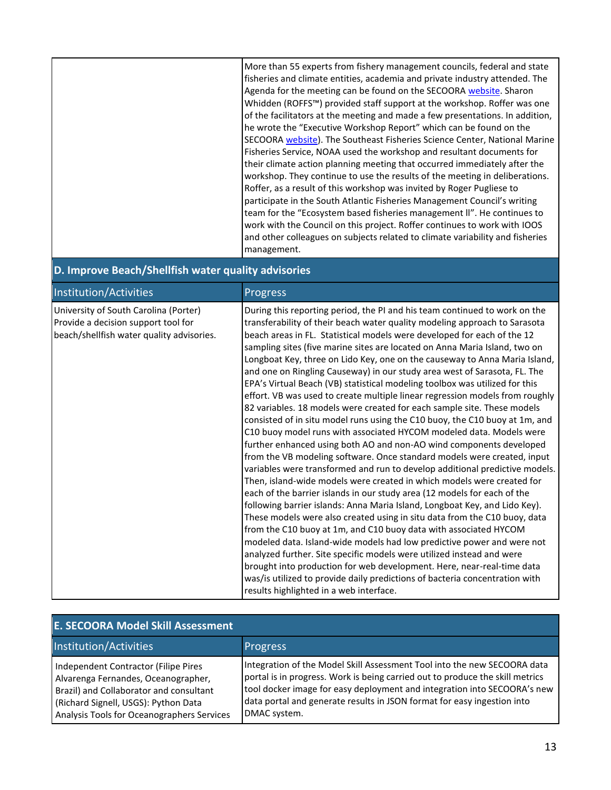|  | More than 55 experts from fishery management councils, federal and state<br>fisheries and climate entities, academia and private industry attended. The<br>Agenda for the meeting can be found on the SECOORA website. Sharon<br>Whidden (ROFFS™) provided staff support at the workshop. Roffer was one<br>of the facilitators at the meeting and made a few presentations. In addition,<br>he wrote the "Executive Workshop Report" which can be found on the<br>SECOORA website). The Southeast Fisheries Science Center, National Marine<br>Fisheries Service, NOAA used the workshop and resultant documents for<br>their climate action planning meeting that occurred immediately after the<br>workshop. They continue to use the results of the meeting in deliberations.<br>Roffer, as a result of this workshop was invited by Roger Pugliese to<br>participate in the South Atlantic Fisheries Management Council's writing<br>team for the "Ecosystem based fisheries management II". He continues to<br>work with the Council on this project. Roffer continues to work with IOOS<br>and other colleagues on subjects related to climate variability and fisheries<br>management. |
|--|------------------------------------------------------------------------------------------------------------------------------------------------------------------------------------------------------------------------------------------------------------------------------------------------------------------------------------------------------------------------------------------------------------------------------------------------------------------------------------------------------------------------------------------------------------------------------------------------------------------------------------------------------------------------------------------------------------------------------------------------------------------------------------------------------------------------------------------------------------------------------------------------------------------------------------------------------------------------------------------------------------------------------------------------------------------------------------------------------------------------------------------------------------------------------------------------|
|--|------------------------------------------------------------------------------------------------------------------------------------------------------------------------------------------------------------------------------------------------------------------------------------------------------------------------------------------------------------------------------------------------------------------------------------------------------------------------------------------------------------------------------------------------------------------------------------------------------------------------------------------------------------------------------------------------------------------------------------------------------------------------------------------------------------------------------------------------------------------------------------------------------------------------------------------------------------------------------------------------------------------------------------------------------------------------------------------------------------------------------------------------------------------------------------------------|

# **D. Improve Beach/Shellfish water quality advisories**

| Institution/Activities                                                                                                    | <b>Progress</b>                                                                                                                                                                                                                                                                                                                                                                                                                                                                                                                                                                                                                                                                                                                                                                                                                                                                                                                                                                                                                                                                                                                                                                                                                                                     |
|---------------------------------------------------------------------------------------------------------------------------|---------------------------------------------------------------------------------------------------------------------------------------------------------------------------------------------------------------------------------------------------------------------------------------------------------------------------------------------------------------------------------------------------------------------------------------------------------------------------------------------------------------------------------------------------------------------------------------------------------------------------------------------------------------------------------------------------------------------------------------------------------------------------------------------------------------------------------------------------------------------------------------------------------------------------------------------------------------------------------------------------------------------------------------------------------------------------------------------------------------------------------------------------------------------------------------------------------------------------------------------------------------------|
| University of South Carolina (Porter)<br>Provide a decision support tool for<br>beach/shellfish water quality advisories. | During this reporting period, the PI and his team continued to work on the<br>transferability of their beach water quality modeling approach to Sarasota<br>beach areas in FL. Statistical models were developed for each of the 12<br>sampling sites (five marine sites are located on Anna Maria Island, two on<br>Longboat Key, three on Lido Key, one on the causeway to Anna Maria Island,<br>and one on Ringling Causeway) in our study area west of Sarasota, FL. The<br>EPA's Virtual Beach (VB) statistical modeling toolbox was utilized for this<br>effort. VB was used to create multiple linear regression models from roughly<br>82 variables. 18 models were created for each sample site. These models<br>consisted of in situ model runs using the C10 buoy, the C10 buoy at 1m, and<br>C10 buoy model runs with associated HYCOM modeled data. Models were<br>further enhanced using both AO and non-AO wind components developed<br>from the VB modeling software. Once standard models were created, input<br>variables were transformed and run to develop additional predictive models.<br>Then, island-wide models were created in which models were created for<br>each of the barrier islands in our study area (12 models for each of the |
|                                                                                                                           | following barrier islands: Anna Maria Island, Longboat Key, and Lido Key).<br>These models were also created using in situ data from the C10 buoy, data<br>from the C10 buoy at 1m, and C10 buoy data with associated HYCOM<br>modeled data. Island-wide models had low predictive power and were not<br>analyzed further. Site specific models were utilized instead and were<br>brought into production for web development. Here, near-real-time data<br>was/is utilized to provide daily predictions of bacteria concentration with<br>results highlighted in a web interface.                                                                                                                                                                                                                                                                                                                                                                                                                                                                                                                                                                                                                                                                                  |

| <b>E. SECOORA Model Skill Assessment</b>                                                                                                                                                                     |                                                                                                                                                                                                                                                                                                                                  |  |  |  |
|--------------------------------------------------------------------------------------------------------------------------------------------------------------------------------------------------------------|----------------------------------------------------------------------------------------------------------------------------------------------------------------------------------------------------------------------------------------------------------------------------------------------------------------------------------|--|--|--|
| Institution/Activities                                                                                                                                                                                       | <b>Progress</b>                                                                                                                                                                                                                                                                                                                  |  |  |  |
| Independent Contractor (Filipe Pires<br>Alvarenga Fernandes, Oceanographer,<br>Brazil) and Collaborator and consultant<br>(Richard Signell, USGS): Python Data<br>Analysis Tools for Oceanographers Services | Integration of the Model Skill Assessment Tool into the new SECOORA data<br>portal is in progress. Work is being carried out to produce the skill metrics<br>tool docker image for easy deployment and integration into SECOORA's new<br>data portal and generate results in JSON format for easy ingestion into<br>DMAC system. |  |  |  |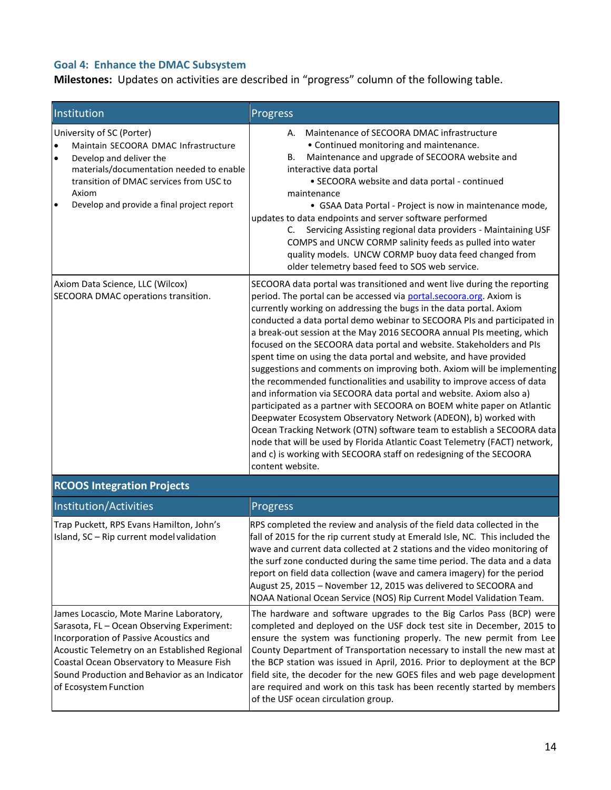# **Goal 4: Enhance the DMAC Subsystem**

Milestones: Updates on activities are described in "progress" column of the following table.

| Institution                                                                                                                                                                                                                                                   | Progress                                                                                                                                                                                                                                                                                                                                                                                                                                                                                                                                                                                                                                                                                                                                                                                                                                                                                                                                                                                                                                                                                                                                         |
|---------------------------------------------------------------------------------------------------------------------------------------------------------------------------------------------------------------------------------------------------------------|--------------------------------------------------------------------------------------------------------------------------------------------------------------------------------------------------------------------------------------------------------------------------------------------------------------------------------------------------------------------------------------------------------------------------------------------------------------------------------------------------------------------------------------------------------------------------------------------------------------------------------------------------------------------------------------------------------------------------------------------------------------------------------------------------------------------------------------------------------------------------------------------------------------------------------------------------------------------------------------------------------------------------------------------------------------------------------------------------------------------------------------------------|
| University of SC (Porter)<br>Maintain SECOORA DMAC Infrastructure<br> .<br>Develop and deliver the<br>materials/documentation needed to enable<br>transition of DMAC services from USC to<br>Axiom<br>$\bullet$<br>Develop and provide a final project report | Maintenance of SECOORA DMAC infrastructure<br>А.<br>• Continued monitoring and maintenance.<br>Maintenance and upgrade of SECOORA website and<br>В.<br>interactive data portal<br>• SECOORA website and data portal - continued<br>maintenance<br>• GSAA Data Portal - Project is now in maintenance mode,<br>updates to data endpoints and server software performed<br>Servicing Assisting regional data providers - Maintaining USF<br>C.<br>COMPS and UNCW CORMP salinity feeds as pulled into water<br>quality models. UNCW CORMP buoy data feed changed from<br>older telemetry based feed to SOS web service.                                                                                                                                                                                                                                                                                                                                                                                                                                                                                                                             |
| Axiom Data Science, LLC (Wilcox)<br>SECOORA DMAC operations transition.                                                                                                                                                                                       | SECOORA data portal was transitioned and went live during the reporting<br>period. The portal can be accessed via portal.secoora.org. Axiom is<br>currently working on addressing the bugs in the data portal. Axiom<br>conducted a data portal demo webinar to SECOORA PIs and participated in<br>a break-out session at the May 2016 SECOORA annual PIs meeting, which<br>focused on the SECOORA data portal and website. Stakeholders and PIs<br>spent time on using the data portal and website, and have provided<br>suggestions and comments on improving both. Axiom will be implementing<br>the recommended functionalities and usability to improve access of data<br>and information via SECOORA data portal and website. Axiom also a)<br>participated as a partner with SECOORA on BOEM white paper on Atlantic<br>Deepwater Ecosystem Observatory Network (ADEON), b) worked with<br>Ocean Tracking Network (OTN) software team to establish a SECOORA data<br>node that will be used by Florida Atlantic Coast Telemetry (FACT) network,<br>and c) is working with SECOORA staff on redesigning of the SECOORA<br>content website. |
| <b>RCOOS Integration Projects</b>                                                                                                                                                                                                                             |                                                                                                                                                                                                                                                                                                                                                                                                                                                                                                                                                                                                                                                                                                                                                                                                                                                                                                                                                                                                                                                                                                                                                  |
| Institution/Activities                                                                                                                                                                                                                                        | Progress                                                                                                                                                                                                                                                                                                                                                                                                                                                                                                                                                                                                                                                                                                                                                                                                                                                                                                                                                                                                                                                                                                                                         |
| Trap Puckett, RPS Evans Hamilton, John's<br>Island, SC - Rip current model validation                                                                                                                                                                         | RPS completed the review and analysis of the field data collected in the<br>fall of 2015 for the rip current study at Emerald Isle, NC. This included the<br>wave and current data collected at 2 stations and the video monitoring of<br>the surf zone conducted during the same time period. The data and a data<br>report on field data collection (wave and camera imagery) for the period<br>August 25, 2015 - November 12, 2015 was delivered to SECOORA and                                                                                                                                                                                                                                                                                                                                                                                                                                                                                                                                                                                                                                                                               |

|                                               | NOAA National Ocean Service (NOS) Rip Current Model Validation Team.      |
|-----------------------------------------------|---------------------------------------------------------------------------|
| James Locascio, Mote Marine Laboratory,       | The hardware and software upgrades to the Big Carlos Pass (BCP) were      |
| Sarasota, FL - Ocean Observing Experiment:    | completed and deployed on the USF dock test site in December, 2015 to     |
| Incorporation of Passive Acoustics and        | ensure the system was functioning properly. The new permit from Lee       |
| Acoustic Telemetry on an Established Regional | County Department of Transportation necessary to install the new mast at  |
| Coastal Ocean Observatory to Measure Fish     | the BCP station was issued in April, 2016. Prior to deployment at the BCP |
| Sound Production and Behavior as an Indicator | field site, the decoder for the new GOES files and web page development   |
| of Ecosystem Function                         | are required and work on this task has been recently started by members   |
|                                               | of the USF ocean circulation group.                                       |
|                                               |                                                                           |

 $\overline{\phantom{a}}$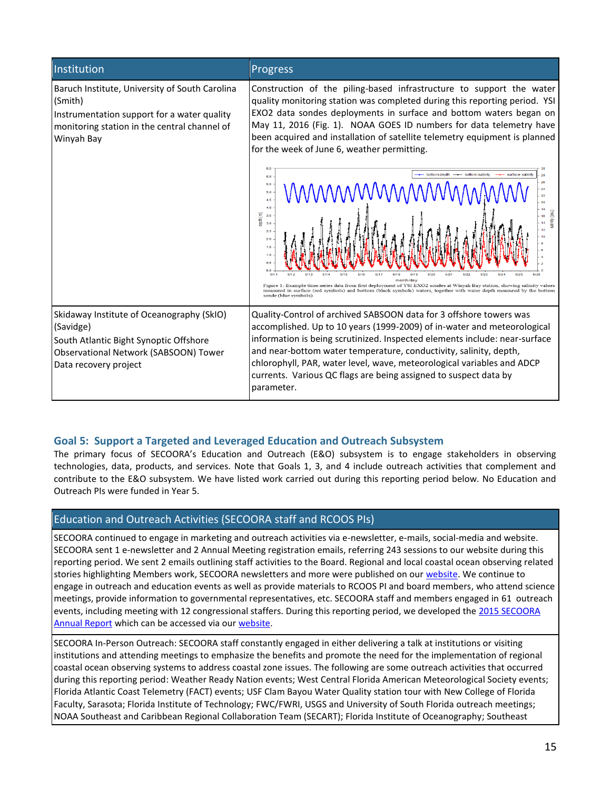| Institution                                                                                                                                                            | <b>Progress</b>                                                                                                                                                                                                                                                                                                                                                                                                                                                                                                                           |  |  |  |  |  |
|------------------------------------------------------------------------------------------------------------------------------------------------------------------------|-------------------------------------------------------------------------------------------------------------------------------------------------------------------------------------------------------------------------------------------------------------------------------------------------------------------------------------------------------------------------------------------------------------------------------------------------------------------------------------------------------------------------------------------|--|--|--|--|--|
| Baruch Institute, University of South Carolina<br>(Smith)<br>Instrumentation support for a water quality<br>monitoring station in the central channel of<br>Winyah Bay | Construction of the piling-based infrastructure to support the water<br>quality monitoring station was completed during this reporting period. YSI<br>EXO2 data sondes deployments in surface and bottom waters began on<br>May 11, 2016 (Fig. 1). NOAA GOES ID numbers for data telemetry have<br>been acquired and installation of satellite telemetry equipment is planned<br>for the week of June 6, weather permitting.                                                                                                              |  |  |  |  |  |
|                                                                                                                                                                        | bottom depth<br>bottom salinity<br>6.0<br>26<br>5.5<br>MMMMMM<br>24<br>5.0<br>22<br>4.5<br>20<br>4.0<br>冨<br>(m) dpt<br>3.0<br>2.5<br>2.0<br>1.6<br>1.0<br>n s<br>0.0<br>6714<br>5/15<br>5/16<br>5/17<br>5/26<br>5/11<br>5/21<br>5/24<br>5/25<br>month/day<br>Figure 1: Example time-series data from first deployment of YSI EXO2 sondes at Winyah Bay station, showing salinity values<br>measured in surface (red symbols) and bottom (black symbols) waters, together with water depth measured by the bottom<br>sonde (blue symbols) |  |  |  |  |  |
| Skidaway Institute of Oceanography (SkIO)<br>(Savidge)<br>South Atlantic Bight Synoptic Offshore<br>Observational Network (SABSOON) Tower<br>Data recovery project     | Quality-Control of archived SABSOON data for 3 offshore towers was<br>accomplished. Up to 10 years (1999-2009) of in-water and meteorological<br>information is being scrutinized. Inspected elements include: near-surface<br>and near-bottom water temperature, conductivity, salinity, depth,<br>chlorophyll, PAR, water level, wave, meteorological variables and ADCP<br>currents. Various QC flags are being assigned to suspect data by<br>parameter.                                                                              |  |  |  |  |  |

### **Goal 5: Support a Targeted and Leveraged Education and Outreach Subsystem**

The primary focus of SECOORA's Education and Outreach (E&O) subsystem is to engage stakeholders in observing technologies, data, products, and services. Note that Goals 1, 3, and 4 include outreach activities that complement and contribute to the E&O subsystem. We have listed work carried out during this reporting period below. No Education and Outreach PIs were funded in Year 5.

### Education and Outreach Activities (SECOORA staff and RCOOS PIs)

SECOORA continued to engage in marketing and outreach activities via e-newsletter, e-mails, social-media and website. SECOORA sent 1 e-newsletter and 2 Annual Meeting registration emails, referring 243 sessions to our website during this reporting period. We sent 2 emails outlining staff activities to the Board. Regional and local coastal ocean observing related stories highlighting Members work, SECOORA newsletters and more were published on our [website.](http://secoora.org/news) We continue to engage in outreach and education events as well as provide materials to RCOOS PI and board members, who attend science meetings, provide information to governmental representatives, etc. SECOORA staff and members engaged in 61 outreach events, including meeting with 12 congressional staffers. During this reporting period, we developed the [2015 SECOORA](http://secoora.org/AnnualReport2015)  [Annual Report w](http://secoora.org/AnnualReport2015)hich can be accessed via our [website.](http://secoora.org/communications)

SECOORA In-Person Outreach: SECOORA staff constantly engaged in either delivering a talk at institutions or visiting institutions and attending meetings to emphasize the benefits and promote the need for the implementation of regional coastal ocean observing systems to address coastal zone issues. The following are some outreach activities that occurred during this reporting period: Weather Ready Nation events; West Central Florida American Meteorological Society events; Florida Atlantic Coast Telemetry (FACT) events; USF Clam Bayou Water Quality station tour with New College of Florida Faculty, Sarasota; Florida Institute of Technology; FWC/FWRI, USGS and University of South Florida outreach meetings; NOAA Southeast and Caribbean Regional Collaboration Team (SECART); Florida Institute of Oceanography; Southeast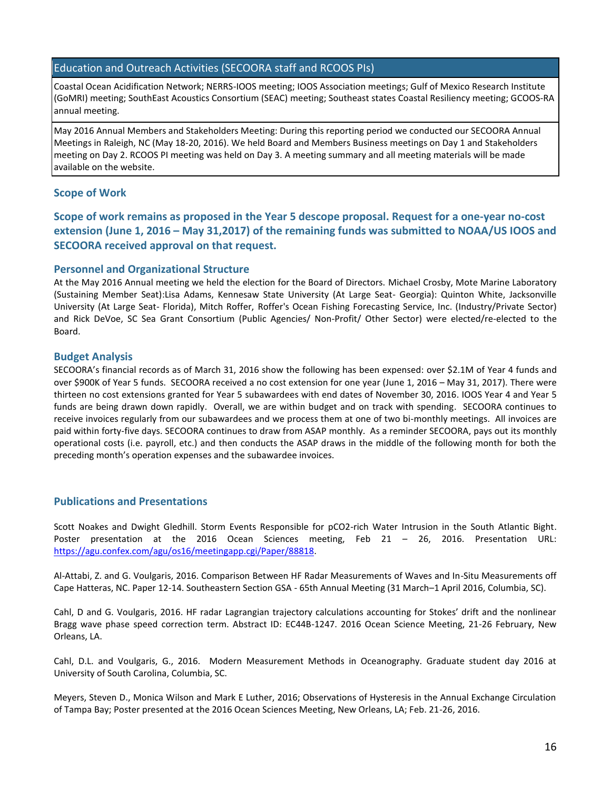#### Education and Outreach Activities (SECOORA staff and RCOOS PIs)

Coastal Ocean Acidification Network; NERRS-IOOS meeting; IOOS Association meetings; Gulf of Mexico Research Institute (GoMRI) meeting; SouthEast Acoustics Consortium (SEAC) meeting; Southeast states Coastal Resiliency meeting; GCOOS-RA annual meeting.

May 2016 Annual Members and Stakeholders Meeting: During this reporting period we conducted our SECOORA Annual Meetings in Raleigh, NC (May 18-20, 2016). We held Board and Members Business meetings on Day 1 and Stakeholders meeting on Day 2. RCOOS PI meeting was held on Day 3. A meeting summary and all meeting materials will be made available on the website.

#### **Scope of Work**

**Scope of work remains as proposed in the Year 5 descope proposal. Request for a one-year no-cost extension (June 1, 2016 – May 31,2017) of the remaining funds was submitted to NOAA/US IOOS and SECOORA received approval on that request.** 

#### **Personnel and Organizational Structure**

At the May 2016 Annual meeting we held the election for the Board of Directors. Michael Crosby, Mote Marine Laboratory (Sustaining Member Seat):Lisa Adams, Kennesaw State University (At Large Seat- Georgia): Quinton White, Jacksonville University (At Large Seat- Florida), Mitch Roffer, Roffer's Ocean Fishing Forecasting Service, Inc. (Industry/Private Sector) and Rick DeVoe, SC Sea Grant Consortium (Public Agencies/ Non-Profit/ Other Sector) were elected/re-elected to the Board.

#### **Budget Analysis**

SECOORA's financial records as of March 31, 2016 show the following has been expensed: over \$2.1M of Year 4 funds and over \$900K of Year 5 funds. SECOORA received a no cost extension for one year (June 1, 2016 – May 31, 2017). There were thirteen no cost extensions granted for Year 5 subawardees with end dates of November 30, 2016. IOOS Year 4 and Year 5 funds are being drawn down rapidly. Overall, we are within budget and on track with spending. SECOORA continues to receive invoices regularly from our subawardees and we process them at one of two bi-monthly meetings. All invoices are paid within forty-five days. SECOORA continues to draw from ASAP monthly. As a reminder SECOORA, pays out its monthly operational costs (i.e. payroll, etc.) and then conducts the ASAP draws in the middle of the following month for both the preceding month's operation expenses and the subawardee invoices.

#### **Publications and Presentations**

Scott Noakes and Dwight Gledhill. Storm Events Responsible for pCO2-rich Water Intrusion in the South Atlantic Bight. Poster presentation at the 2016 Ocean Sciences meeting, Feb 21 – 26, 2016. Presentation URL: [https://agu.confex.com/agu/os16/meetingapp.cgi/Paper/88818.](https://agu.confex.com/agu/os16/meetingapp.cgi/Paper/88818)

Al-Attabi, Z. and G. Voulgaris, 2016. Comparison Between HF Radar Measurements of Waves and In-Situ Measurements off Cape Hatteras, NC. Paper 12-14. Southeastern Section GSA - 65th Annual Meeting (31 March–1 April 2016, Columbia, SC).

Cahl, D and G. Voulgaris, 2016. HF radar Lagrangian trajectory calculations accounting for Stokes' drift and the nonlinear Bragg wave phase speed correction term. Abstract ID: EC44B-1247. 2016 Ocean Science Meeting, 21-26 February, New Orleans, LA.

Cahl, D.L. and Voulgaris, G., 2016. Modern Measurement Methods in Oceanography. Graduate student day 2016 at University of South Carolina, Columbia, SC.

Meyers, Steven D., Monica Wilson and Mark E Luther, 2016; Observations of Hysteresis in the Annual Exchange Circulation of Tampa Bay; Poster presented at the 2016 Ocean Sciences Meeting, New Orleans, LA; Feb. 21-26, 2016.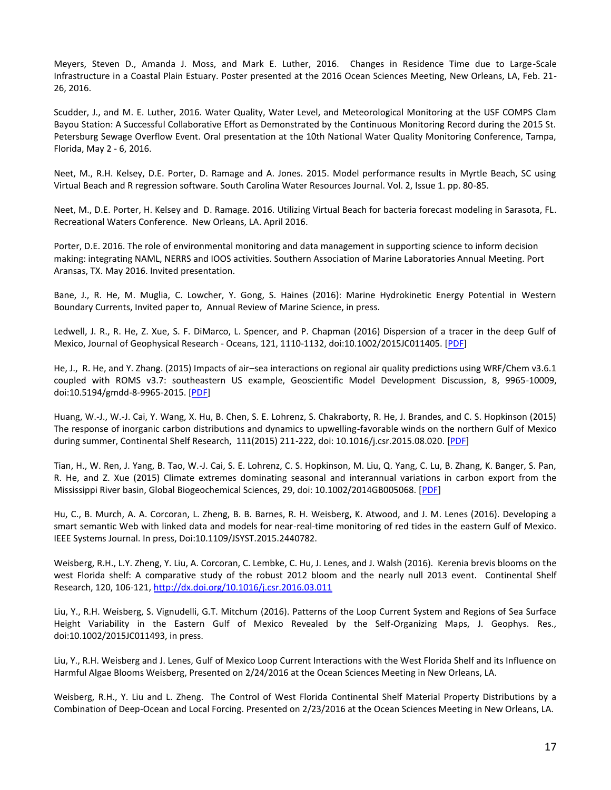Meyers, Steven D., Amanda J. Moss, and Mark E. Luther, 2016. Changes in Residence Time due to Large-Scale Infrastructure in a Coastal Plain Estuary. Poster presented at the 2016 Ocean Sciences Meeting, New Orleans, LA, Feb. 21- 26, 2016.

Scudder, J., and M. E. Luther, 2016. Water Quality, Water Level, and Meteorological Monitoring at the USF COMPS Clam Bayou Station: A Successful Collaborative Effort as Demonstrated by the Continuous Monitoring Record during the 2015 St. Petersburg Sewage Overflow Event. Oral presentation at the 10th National Water Quality Monitoring Conference, Tampa, Florida, May 2 - 6, 2016.

Neet, M., R.H. Kelsey, D.E. Porter, D. Ramage and A. Jones. 2015. Model performance results in Myrtle Beach, SC using Virtual Beach and R regression software. South Carolina Water Resources Journal. Vol. 2, Issue 1. pp. 80-85.

Neet, M., D.E. Porter, H. Kelsey and D. Ramage. 2016. Utilizing Virtual Beach for bacteria forecast modeling in Sarasota, FL. Recreational Waters Conference. New Orleans, LA. April 2016.

Porter, D.E. 2016. The role of environmental monitoring and data management in supporting science to inform decision making: integrating NAML, NERRS and IOOS activities. Southern Association of Marine Laboratories Annual Meeting. Port Aransas, TX. May 2016. Invited presentation.

Bane, J., R. He, M. Muglia, C. Lowcher, Y. Gong, S. Haines (2016): Marine Hydrokinetic Energy Potential in Western Boundary Currents, Invited paper to, Annual Review of Marine Science, in press.

Ledwell, J. R., R. He, Z. Xue, S. F. DiMarco, L. Spencer, and P. Chapman (2016) Dispersion of a tracer in the deep Gulf of Mexico, Journal of Geophysical Research - Oceans, 121, 1110-1132, doi:10.1002/2015JC011405. [\[PDF\]](https://f9f29c09aba68b34e97f2e1e94ba641ecca20392.googledrive.com/host/0B8MXmF_zZc7KN2RWZWJKMEh1eEk/Publications/Ledwell_et_al-2016-JGRO.pdf)

He, J., R. He, and Y. Zhang. (2015) Impacts of air–sea interactions on regional air quality predictions using WRF/Chem v3.6.1 coupled with ROMS v3.7: southeastern US example, Geoscientific Model Development Discussion, 8, 9965-10009, doi:10.5194/gmdd-8-9965-2015. [\[PDF\]](https://f9f29c09aba68b34e97f2e1e94ba641ecca20392.googledrive.com/host/0B8MXmF_zZc7KN2RWZWJKMEh1eEk/publications/HeHeZhang_GMDD2015.pdf)

Huang, W.-J., W.-J. Cai, Y. Wang, X. Hu, B. Chen, S. E. Lohrenz, S. Chakraborty, R. He, J. Brandes, and C. S. Hopkinson (2015) The response of inorganic carbon distributions and dynamics to upwelling-favorable winds on the northern Gulf of Mexico during summer, Continental Shelf Research, 111(2015) 211-222, doi: 10.1016/j.csr.2015.08.020. [\[PDF\]](https://f9f29c09aba68b34e97f2e1e94ba641ecca20392.googledrive.com/host/0B8MXmF_zZc7KN2RWZWJKMEh1eEk/Publications/Huangetal_CSR2015.pdf)

Tian, H., W. Ren, J. Yang, B. Tao, W.-J. Cai, S. E. Lohrenz, C. S. Hopkinson, M. Liu, Q. Yang, C. Lu, B. Zhang, K. Banger, S. Pan, R. He, and Z. Xue (2015) Climate extremes dominating seasonal and interannual variations in carbon export from the Mississippi River basin, Global Biogeochemical Sciences, 29, doi: 10.1002/2014GB005068. [\[PDF\]](https://f9f29c09aba68b34e97f2e1e94ba641ecca20392.googledrive.com/host/0B8MXmF_zZc7KN2RWZWJKMEh1eEk/Publications/Tianetal_GBC2015.pdf)

Hu, C., B. Murch, A. A. Corcoran, L. Zheng, B. B. Barnes, R. H. Weisberg, K. Atwood, and J. M. Lenes (2016). Developing a smart semantic Web with linked data and models for near-real-time monitoring of red tides in the eastern Gulf of Mexico. IEEE Systems Journal. In press, Doi:10.1109/JSYST.2015.2440782.

Weisberg, R.H., L.Y. Zheng, Y. Liu, A. Corcoran, C. Lembke, C. Hu, J. Lenes, and J. Walsh (2016). Kerenia brevis blooms on the west Florida shelf: A comparative study of the robust 2012 bloom and the nearly null 2013 event. Continental Shelf Research, 120, 106-121,<http://dx.doi.org/10.1016/j.csr.2016.03.011>

Liu, Y., R.H. Weisberg, S. Vignudelli, G.T. Mitchum (2016). Patterns of the Loop Current System and Regions of Sea Surface Height Variability in the Eastern Gulf of Mexico Revealed by the Self-Organizing Maps, J. Geophys. Res., doi:10.1002/2015JC011493, in press.

Liu, Y., R.H. Weisberg and J. Lenes, Gulf of Mexico Loop Current Interactions with the West Florida Shelf and its Influence on Harmful Algae Blooms Weisberg, Presented on 2/24/2016 at the Ocean Sciences Meeting in New Orleans, LA.

Weisberg, R.H., Y. Liu and L. Zheng. The Control of West Florida Continental Shelf Material Property Distributions by a Combination of Deep-Ocean and Local Forcing. Presented on 2/23/2016 at the Ocean Sciences Meeting in New Orleans, LA.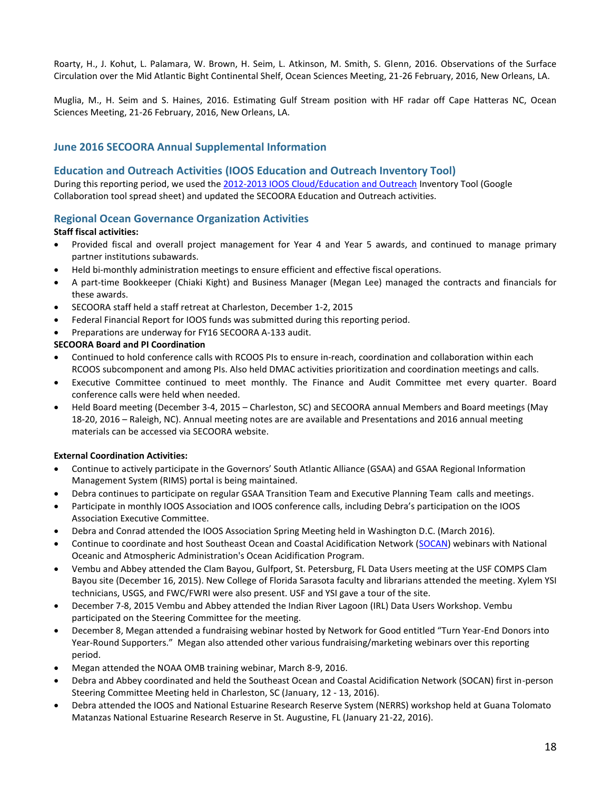Roarty, H., J. Kohut, L. Palamara, W. Brown, H. Seim, L. Atkinson, M. Smith, S. Glenn, 2016. Observations of the Surface Circulation over the Mid Atlantic Bight Continental Shelf, Ocean Sciences Meeting, 21-26 February, 2016, New Orleans, LA.

Muglia, M., H. Seim and S. Haines, 2016. Estimating Gulf Stream position with HF radar off Cape Hatteras NC, Ocean Sciences Meeting, 21-26 February, 2016, New Orleans, LA.

#### **June 2016 SECOORA Annual Supplemental Information**

#### **Education and Outreach Activities (IOOS Education and Outreach Inventory Tool)**

During this reporting period, we used the [2012-2013 IOOS Cloud/Education and Outreach](https://sites.google.com/a/noaa.gov/iooscloud/education-outreach) Inventory Tool (Google Collaboration tool spread sheet) and updated the SECOORA Education and Outreach activities.

#### **Regional Ocean Governance Organization Activities**

#### **Staff fiscal activities:**

- Provided fiscal and overall project management for Year 4 and Year 5 awards, and continued to manage primary partner institutions subawards.
- Held bi-monthly administration meetings to ensure efficient and effective fiscal operations.
- A part-time Bookkeeper (Chiaki Kight) and Business Manager (Megan Lee) managed the contracts and financials for these awards.
- SECOORA staff held a staff retreat at Charleston, December 1-2, 2015
- Federal Financial Report for IOOS funds was submitted during this reporting period.
- Preparations are underway for FY16 SECOORA A-133 audit.

#### **SECOORA Board and PI Coordination**

- Continued to hold conference calls with RCOOS PIs to ensure in-reach, coordination and collaboration within each RCOOS subcomponent and among PIs. Also held DMAC activities prioritization and coordination meetings and calls.
- Executive Committee continued to meet monthly. The Finance and Audit Committee met every quarter. Board conference calls were held when needed.
- Held Board meeting (December 3-4, 2015 Charleston, SC) and SECOORA annual Members and Board meetings (May 18-20, 2016 – Raleigh, NC). Annual meeting notes are are available and Presentations and 2016 annual meeting materials can be accessed via SECOORA website.

#### **External Coordination Activities:**

- Continue to actively participate in the Governors' South Atlantic Alliance (GSAA) and GSAA Regional Information Management System (RIMS) portal is being maintained.
- Debra continues to participate on regular GSAA Transition Team and Executive Planning Team calls and meetings.
- Participate in monthly IOOS Association and IOOS conference calls, including Debra's participation on the IOOS Association Executive Committee.
- Debra and Conrad attended the IOOS Association Spring Meeting held in Washington D.C. (March 2016).
- Continue to coordinate and host Southeast Ocean and Coastal Acidification Network [\(SOCAN\)](http://secoora.org/socan) webinars with National Oceanic and Atmospheric Administration's Ocean Acidification Program.
- Vembu and Abbey attended the Clam Bayou, Gulfport, St. Petersburg, FL Data Users meeting at the USF COMPS Clam Bayou site (December 16, 2015). New College of Florida Sarasota faculty and librarians attended the meeting. Xylem YSI technicians, USGS, and FWC/FWRI were also present. USF and YSI gave a tour of the site.
- December 7-8, 2015 Vembu and Abbey attended the Indian River Lagoon (IRL) Data Users Workshop. Vembu participated on the Steering Committee for the meeting.
- December 8, Megan attended a fundraising webinar hosted by Network for Good entitled "Turn Year-End Donors into Year-Round Supporters.<sup>"</sup> Megan also attended other various fundraising/marketing webinars over this reporting period.
- Megan attended the NOAA OMB training webinar, March 8-9, 2016.
- Debra and Abbey coordinated and held the Southeast Ocean and Coastal Acidification Network (SOCAN) first in-person Steering Committee Meeting held in Charleston, SC (January, 12 - 13, 2016).
- Debra attended the IOOS and National Estuarine Research Reserve System (NERRS) workshop held at Guana Tolomato Matanzas National Estuarine Research Reserve in St. Augustine, FL (January 21-22, 2016).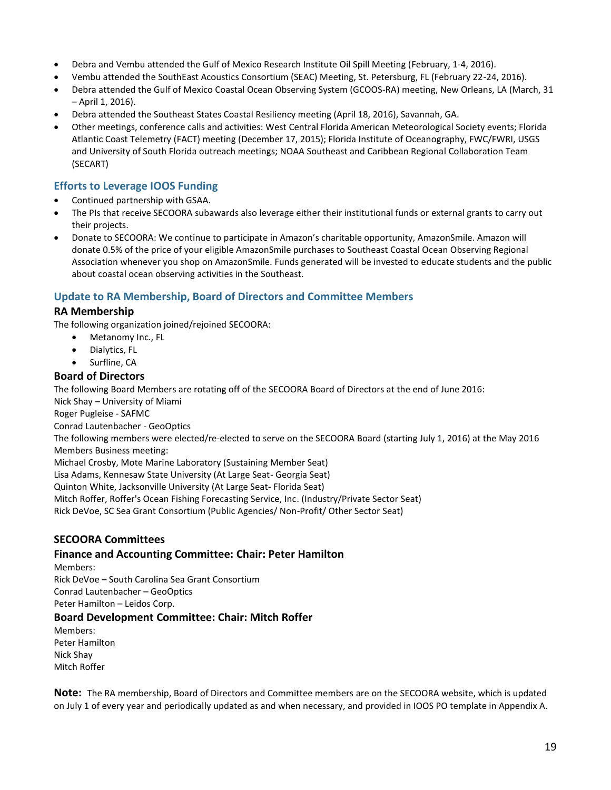- Debra and Vembu attended the Gulf of Mexico Research Institute Oil Spill Meeting (February, 1-4, 2016).
- Vembu attended the SouthEast Acoustics Consortium (SEAC) Meeting, St. Petersburg, FL (February 22-24, 2016).
- Debra attended the Gulf of Mexico Coastal Ocean Observing System (GCOOS-RA) meeting, New Orleans, LA (March, 31 – April 1, 2016).
- Debra attended the Southeast States Coastal Resiliency meeting (April 18, 2016), Savannah, GA.
- Other meetings, conference calls and activities: West Central Florida American Meteorological Society events; Florida Atlantic Coast Telemetry (FACT) meeting (December 17, 2015); Florida Institute of Oceanography, FWC/FWRI, USGS and University of South Florida outreach meetings; NOAA Southeast and Caribbean Regional Collaboration Team (SECART)

### **Efforts to Leverage IOOS Funding**

- Continued partnership with GSAA.
- The PIs that receive SECOORA subawards also leverage either their institutional funds or external grants to carry out their projects.
- Donate to SECOORA: We continue to participate in Amazon's charitable opportunity, AmazonSmile. Amazon will donate 0.5% of the price of your eligible AmazonSmile purchases to Southeast Coastal Ocean Observing Regional Association whenever you shop on AmazonSmile. Funds generated will be invested to educate students and the public about coastal ocean observing activities in the Southeast.

#### **Update to RA Membership, Board of Directors and Committee Members**

#### **RA Membership**

The following organization joined/rejoined SECOORA:

- Metanomy Inc., FL
- Dialytics, FL
- Surfline, CA

#### **Board of Directors**

The following Board Members are rotating off of the SECOORA Board of Directors at the end of June 2016:

Nick Shay – University of Miami

Roger Pugleise - SAFMC

Conrad Lautenbacher - GeoOptics

The following members were elected/re-elected to serve on the SECOORA Board (starting July 1, 2016) at the May 2016 Members Business meeting:

Michael Crosby, Mote Marine Laboratory (Sustaining Member Seat)

Lisa Adams, Kennesaw State University (At Large Seat- Georgia Seat)

Quinton White, Jacksonville University (At Large Seat- Florida Seat)

Mitch Roffer, Roffer's Ocean Fishing Forecasting Service, Inc. (Industry/Private Sector Seat)

Rick DeVoe, SC Sea Grant Consortium (Public Agencies/ Non-Profit/ Other Sector Seat)

### **SECOORA Committees**

#### **Finance and Accounting Committee: Chair: Peter Hamilton**

Members: Rick DeVoe – South Carolina Sea Grant Consortium Conrad Lautenbacher – GeoOptics Peter Hamilton – Leidos Corp.

#### **Board Development Committee: Chair: Mitch Roffer**

Members: Peter Hamilton Nick Shay Mitch Roffer

**Note:** The RA membership, Board of Directors and Committee members are on the SECOORA website, which is updated on July 1 of every year and periodically updated as and when necessary, and provided in IOOS PO template in Appendix A.